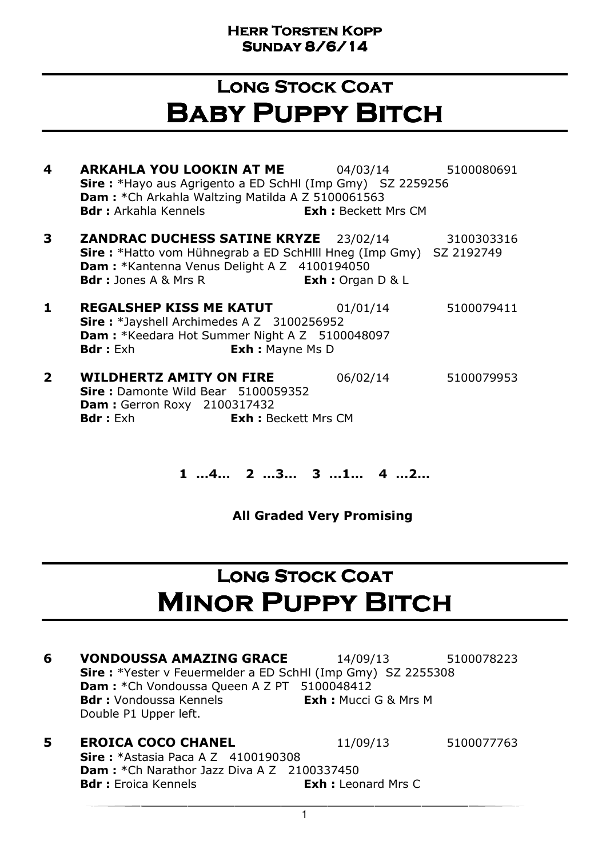### LONG STOCK COAT Baby Puppy Bitch

- **4 ARKAHLA YOU LOOKIN AT ME** 04/03/14 5100080691 Sire : \*Hayo aus Agrigento a ED SchHl (Imp Gmy) SZ 2259256 Dam : \*Ch Arkahla Waltzing Matilda A Z 5100061563 **Bdr :** Arkahla Kennels **Exh :** Beckett Mrs CM
- **3 ZANDRAC DUCHESS SATINE KRYZE** 23/02/14 3100303316 Sire : \*Hatto vom Hühnegrab a ED SchHlll Hneg (Imp Gmy) SZ 2192749 Dam : \*Kantenna Venus Delight A Z 4100194050 **Bdr**: Jones A & Mrs R **Exh:** Organ D & L
- **1 REGALSHEP KISS ME KATUT** 01/01/14 5100079411 Sire: \*Jayshell Archimedes A Z 3100256952 Dam: \*Keedara Hot Summer Night A Z 5100048097 **Bdr**: Exh **Exh:** Mayne Ms D
- **2 WILDHERTZ AMITY ON FIRE** 06/02/14 5100079953 Sire: Damonte Wild Bear 5100059352 **Dam: Gerron Roxy 2100317432 Bdr**: Exh **Exh:** Beckett Mrs CM

#### 1 …4… 2 …3… 3 …1… 4 …2…

All Graded Very Promising

### LONG STOCK COAT **MINOR PUPPY BITCH**

- **6 VONDOUSSA AMAZING GRACE** 14/09/13 5100078223 Sire : \*Yester v Feuermelder a ED SchHl (Imp Gmy) SZ 2255308 Dam : \* Ch Vondoussa Queen A Z PT 5100048412 **Bdr :** Vondoussa Kennels **Exh :** Mucci G & Mrs M Double P1 Upper left.
- **5 EROICA COCO CHANEL** 11/09/13 5100077763 **Sire: \*Astasia Paca A Z 4100190308** Dam : \* Ch Narathor Jazz Diva A Z 2100337450 **Bdr**: Eroica Kennels **Exh:** Leonard Mrs C

1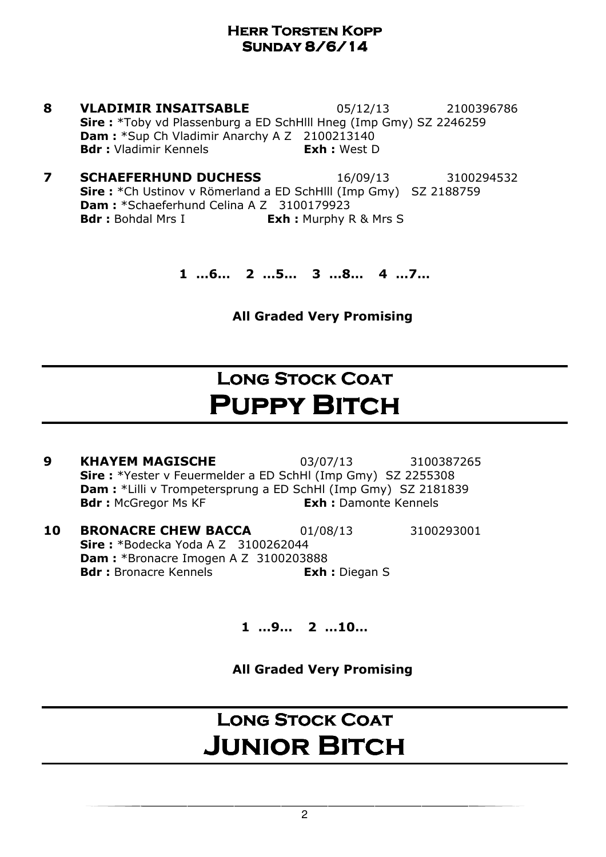- **8 VLADIMIR INSAITSABLE** 05/12/13 2100396786 Sire : \*Toby vd Plassenburg a ED SchHlll Hneg (Imp Gmy) SZ 2246259 Dam : \*Sup Ch Vladimir Anarchy A Z 2100213140 Bdr : Vladimir Kennels **Exh** : West D
- **7 SCHAEFERHUND DUCHESS** 16/09/13 3100294532 Sire : \*Ch Ustinov v Römerland a ED SchHlll (Imp Gmy) SZ 2188759 Dam: \*Schaeferhund Celina A Z 3100179923 Bdr : Bohdal Mrs I Exh : Murphy R & Mrs S

1 …6… 2 …5… 3 …8… 4 …7…

All Graded Very Promising

## **LONG STOCK COAT PUPPY BITCH**

- **9 KHAYEM MAGISCHE** 03/07/13 3100387265 Sire : \*Yester v Feuermelder a ED SchHl (Imp Gmy) SZ 2255308 Dam : \*Lilli v Trompetersprung a ED SchHl (Imp Gmy) SZ 2181839 **Bdr :** McGregor Ms KF **Exh :** Damonte Kennels
- **10 BRONACRE CHEW BACCA** 01/08/13 3100293001 **Sire: \*Bodecka Yoda A Z 3100262044** Dam : \*Bronacre Imogen A Z 3100203888 Bdr : Bronacre Kennels **Exh** : Diegan S

1 …9… 2 …10…

All Graded Very Promising

## LONG STOCK COAT **JUNIOR BITCH**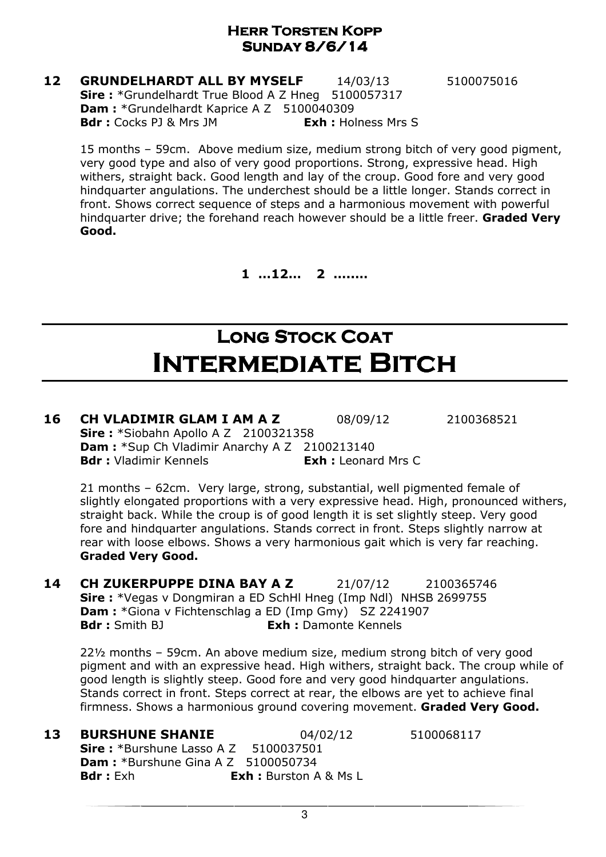#### **12 GRUNDELHARDT ALL BY MYSELF** 14/03/13 5100075016 Sire: \*Grundelhardt True Blood A Z Hneg 5100057317 Dam : \*Grundelhardt Kaprice A Z 5100040309 **Bdr :** Cocks PJ & Mrs JM **Exh :** Holness Mrs S

15 months – 59cm. Above medium size, medium strong bitch of very good pigment, very good type and also of very good proportions. Strong, expressive head. High withers, straight back. Good length and lay of the croup. Good fore and very good hindquarter angulations. The underchest should be a little longer. Stands correct in front. Shows correct sequence of steps and a harmonious movement with powerful hindquarter drive; the forehand reach however should be a little freer. Graded Verv Good.

1 …12… 2 …..…

## LONG STOCK COAT Intermediate Bitch

#### **16 CH VLADIMIR GLAM I AM A Z** 08/09/12 2100368521 Sire: \*Siobahn Apollo A Z 2100321358 Dam : \*Sup Ch Vladimir Anarchy A Z 2100213140 **Bdr**: Vladimir Kennels **Exh:** Leonard Mrs C

21 months – 62cm. Very large, strong, substantial, well pigmented female of slightly elongated proportions with a very expressive head. High, pronounced withers, straight back. While the croup is of good length it is set slightly steep. Very good fore and hindquarter angulations. Stands correct in front. Steps slightly narrow at rear with loose elbows. Shows a very harmonious gait which is very far reaching. Graded Very Good.

**14 CH ZUKERPUPPE DINA BAY A Z** 21/07/12 2100365746 Sire : \*Vegas v Dongmiran a ED SchHl Hneg (Imp Ndl) NHSB 2699755 Dam : \*Giona v Fichtenschlag a ED (Imp Gmy) SZ 2241907 **Bdr** : Smith BJ **Exh : Damonte Kennels** 

22½ months – 59cm. An above medium size, medium strong bitch of very good pigment and with an expressive head. High withers, straight back. The croup while of good length is slightly steep. Good fore and very good hindquarter angulations. Stands correct in front. Steps correct at rear, the elbows are yet to achieve final firmness. Shows a harmonious ground covering movement. Graded Very Good.

**13 BURSHUNE SHANIE** 04/02/12 5100068117

Sire : \*Burshune Lasso A Z 5100037501 **Dam: \***Burshune Gina A Z 5100050734 **Bdr**: Exh **Exh:** Burston A & Ms L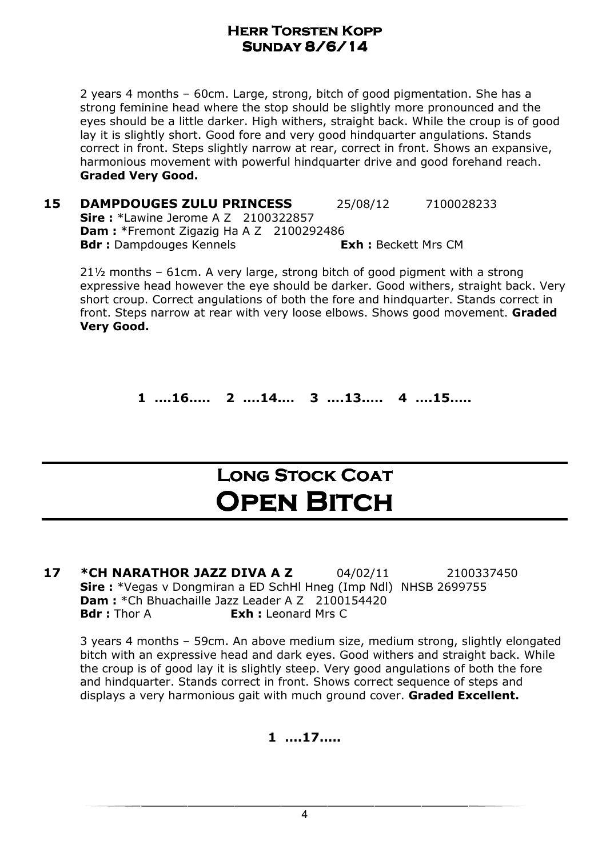2 years 4 months – 60cm. Large, strong, bitch of good pigmentation. She has a strong feminine head where the stop should be slightly more pronounced and the eyes should be a little darker. High withers, straight back. While the croup is of good lay it is slightly short. Good fore and very good hindquarter angulations. Stands correct in front. Steps slightly narrow at rear, correct in front. Shows an expansive, harmonious movement with powerful hindquarter drive and good forehand reach. Graded Very Good.

**15 DAMPDOUGES ZULU PRINCESS** 25/08/12 7100028233 **Sire:** \*Lawine Jerome A Z 2100322857 Dam : \*Fremont Zigazig Ha A Z 2100292486 **Bdr**: Dampdouges Kennels **Exh: Beckett Mrs CM** 

21½ months – 61cm. A very large, strong bitch of good pigment with a strong expressive head however the eye should be darker. Good withers, straight back. Very short croup. Correct angulations of both the fore and hindquarter. Stands correct in front. Steps narrow at rear with very loose elbows. Shows good movement. Graded Very Good.

1 ….16.…. 2 ….14.… 3 ….13.…. 4 ….15.….

### LONG STOCK COAT **OPEN BITCH**

**17 \*CH NARATHOR JAZZ DIVA A Z** 04/02/11 2100337450 Sire: \*Vegas v Dongmiran a ED SchHl Hneg (Imp Ndl) NHSB 2699755 Dam : \*Ch Bhuachaille Jazz Leader A Z 2100154420 **Bdr**: Thor A **Exh:** Leonard Mrs C

3 years 4 months – 59cm. An above medium size, medium strong, slightly elongated bitch with an expressive head and dark eyes. Good withers and straight back. While the croup is of good lay it is slightly steep. Very good angulations of both the fore and hindquarter. Stands correct in front. Shows correct sequence of steps and displays a very harmonious gait with much ground cover. Graded Excellent.

#### 1 ….17.….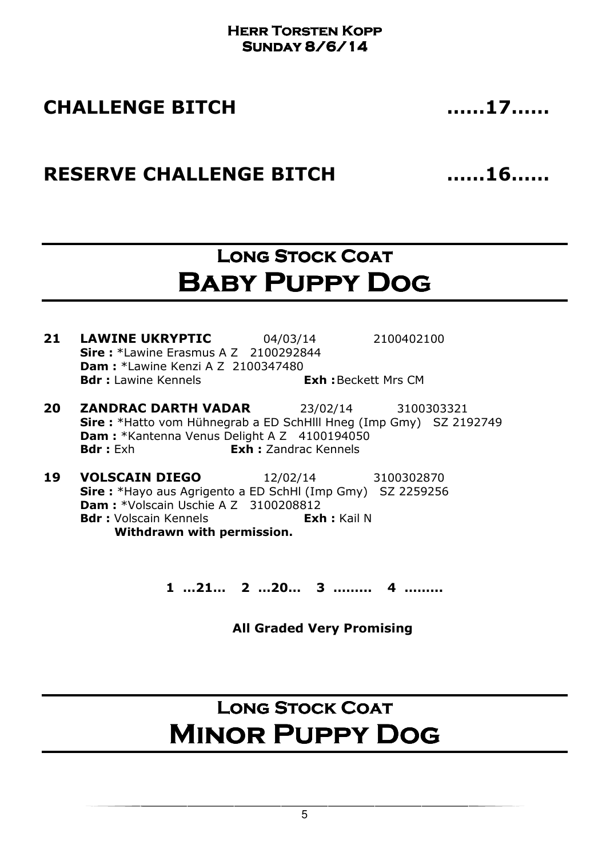### CHALLENGE BITCH ……17……

### RESERVE CHALLENGE BITCH 16……16……

### LONG STOCK COAT Baby Puppy Dog

**21 LAWINE UKRYPTIC** 04/03/14 2100402100 **Sire:** \*Lawine Erasmus A Z 2100292844 Dam : \*Lawine Kenzi A Z 2100347480 **Bdr**: Lawine Kennels **Exh:** Beckett Mrs CM

- 20 ZANDRAC DARTH VADAR 23/02/14 3100303321 Sire : \*Hatto vom Hühnegrab a ED SchHlll Hneg (Imp Gmy) SZ 2192749 Dam : \*Kantenna Venus Delight A Z 4100194050 **Bdr**: Exh **Exh:** Zandrac Kennels
- 19 VOLSCAIN DIEGO 12/02/14 3100302870 Sire : \*Hayo aus Agrigento a ED SchHl (Imp Gmy) SZ 2259256 Dam : \* Volscain Uschie A Z 3100208812 Bdr : Volscain Kennels **Exh** : Kail N Withdrawn with permission.

1 …21… 2 …20… 3 ……... 4 ……...

All Graded Very Promising

## LONG STOCK COAT Minor Puppy Dog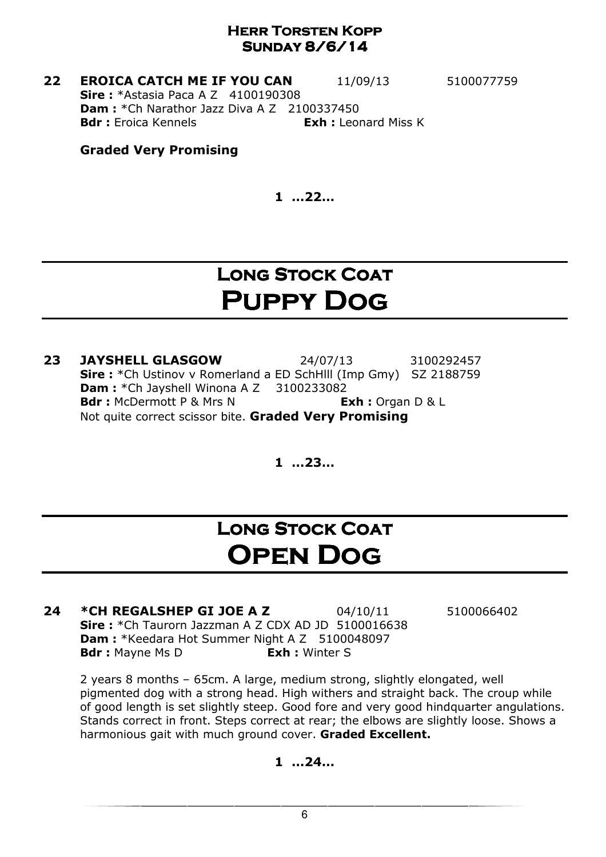**22 EROICA CATCH ME IF YOU CAN** 11/09/13 5100077759 **Sire: \*Astasia Paca A Z 4100190308 Dam : \*Ch Narathor Jazz Diva A Z 2100337450 Bdr**: Eroica Kennels **Exh:** Leonard Miss K

#### Graded Very Promising

1 …22…

### LONG STOCK COAT Puppy Dog

**23 JAYSHELL GLASGOW** 24/07/13 3100292457 Sire : \*Ch Ustinov v Romerland a ED SchHlll (Imp Gmy) SZ 2188759 Dam : \* Ch Jayshell Winona A Z 3100233082 Bdr: McDermott P & Mrs N Exh: Organ D & L Not quite correct scissor bite. Graded Very Promising

1 …23…

### LONG STOCK COAT Open Dog

**24 \*CH REGALSHEP GI JOE A Z** 04/10/11 5100066402 Sire: \*Ch Taurorn Jazzman A Z CDX AD JD 5100016638 Dam : \*Keedara Hot Summer Night A Z 5100048097 **Bdr**: Mayne Ms D **Exh**: Winter S

2 years 8 months – 65cm. A large, medium strong, slightly elongated, well pigmented dog with a strong head. High withers and straight back. The croup while of good length is set slightly steep. Good fore and very good hindquarter angulations. Stands correct in front. Steps correct at rear; the elbows are slightly loose. Shows a harmonious gait with much ground cover. Graded Excellent.

1 …24…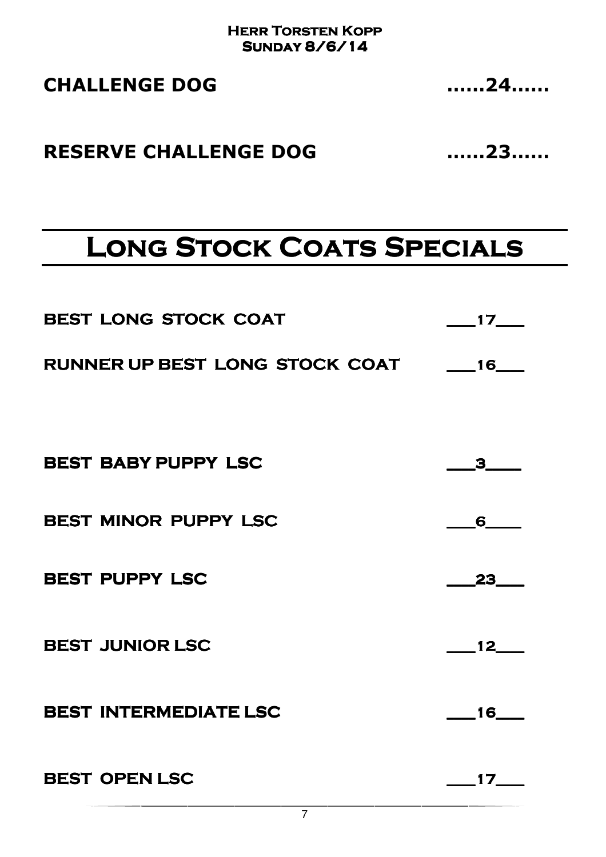| <b>CHALLENGE DOG</b> | 24 |
|----------------------|----|
|                      |    |

### RESERVE CHALLENGE DOG ……23……

# **LONG STOCK COATS SPECIALS**

| <b>BEST LONG STOCK COAT</b>       | 17                          |
|-----------------------------------|-----------------------------|
| RUNNER UP BEST LONG STOCK COAT 16 |                             |
|                                   |                             |
| <b>BEST BABY PUPPY LSC</b>        | $\overline{\mathbf{3}}$     |
| BEST MINOR PUPPY LSC              | 6                           |
| <b>BEST PUPPY LSC</b>             | 23                          |
| <b>BEST JUNIOR LSC</b>            | $\overline{12}$             |
| <b>BEST INTERMEDIATE LSC</b>      | $\overline{\phantom{0}}$ 16 |
| <b>BEST OPEN LSC</b>              | 17                          |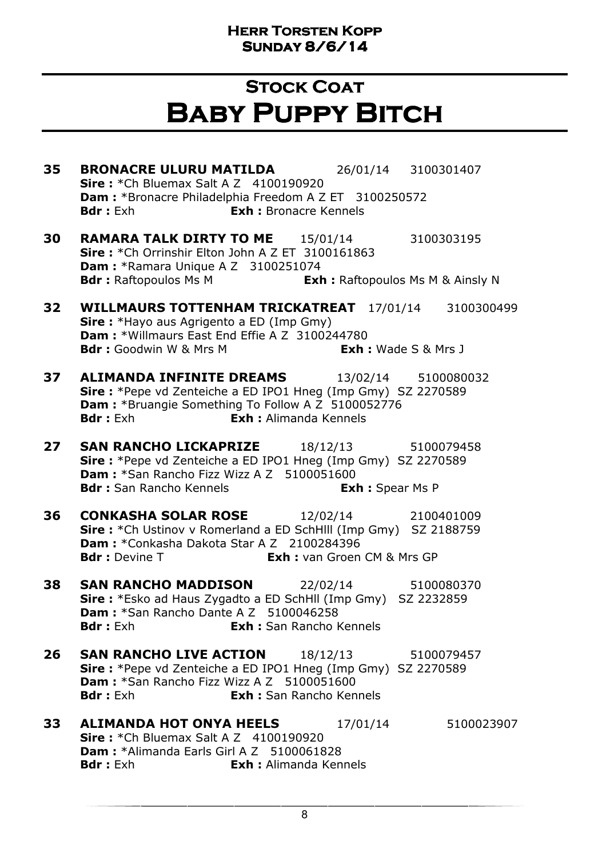### **STOCK COAT** Baby Puppy Bitch

35 BRONACRE ULURU MATILDA 26/01/14 3100301407 **Sire:** \*Ch Bluemax Salt A Z 4100190920 Dam : \*Bronacre Philadelphia Freedom A Z ET 3100250572 **Bdr**: Exh **Exh:** Bronacre Kennels **30 RAMARA TALK DIRTY TO ME** 15/01/14 3100303195 Sire: \*Ch Orrinshir Elton John A Z ET 3100161863 **Dam : \*Ramara Unique A Z 3100251074 Bdr**: Raftopoulos Ms M **Exh:** Raftopoulos Ms M & Ainsly N 32 WILLMAURS TOTTENHAM TRICKATREAT 17/01/14 3100300499 **Sire:** \*Hayo aus Agrigento a ED (Imp Gmy) Dam : \*Willmaurs East End Effie A Z 3100244780 **Bdr :** Goodwin W & Mrs M **Exh :** Wade S & Mrs J **37 ALIMANDA INFINITE DREAMS** 13/02/14 5100080032 Sire : \*Pepe vd Zenteiche a ED IPO1 Hneg (Imp Gmy) SZ 2270589 Dam : \*Bruangie Something To Follow A Z 5100052776 Bdr : Exh **Exh :** Alimanda Kennels **27 SAN RANCHO LICKAPRIZE** 18/12/13 5100079458 Sire : \*Pepe vd Zenteiche a ED IPO1 Hneg (Imp Gmy) SZ 2270589 Dam : \*San Rancho Fizz Wizz A Z 5100051600 Bdr : San Rancho Kennels **Exh : Spear Ms P 36 CONKASHA SOLAR ROSE** 12/02/14 2100401009 Sire : \*Ch Ustinov v Romerland a ED SchHlll (Imp Gmy) SZ 2188759 Dam : \*Conkasha Dakota Star A Z 2100284396 **Bdr** : Devine T **Exh** : van Groen CM & Mrs GP 38 SAN RANCHO MADDISON 22/02/14 5100080370 Sire : \*Esko ad Haus Zygadto a ED SchHll (Imp Gmy) SZ 2232859 Dam : \*San Rancho Dante A Z 5100046258 **Bdr :** Exh **Exh :** San Rancho Kennels 26 SAN RANCHO LIVE ACTION 18/12/13 5100079457 Sire : \*Pepe vd Zenteiche a ED IPO1 Hneg (Imp Gmy) SZ 2270589 Dam: \*San Rancho Fizz Wizz A Z 5100051600 Bdr : Exh : Exh : San Rancho Kennels **33 ALIMANDA HOT ONYA HEELS** 17/01/14 5100023907 **Sire : \*Ch Bluemax Salt A Z 4100190920** Dam: \*Alimanda Earls Girl A Z 5100061828 Bdr : Exh **Exh :** Alimanda Kennels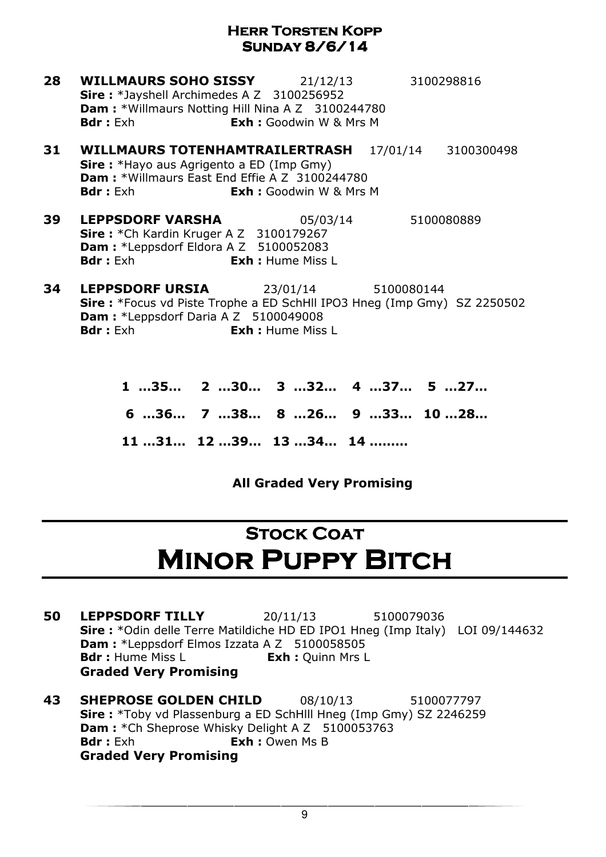- **28 WILLMAURS SOHO SISSY** 21/12/13 3100298816 Sire: \*Jayshell Archimedes A Z 3100256952 Dam : \*Willmaurs Notting Hill Nina A Z 3100244780 **Bdr**: Exh **Exh:** Goodwin W & Mrs M
- 31 WILLMAURS TOTENHAMTRAILERTRASH 17/01/14 3100300498 Sire: \*Hayo aus Agrigento a ED (Imp Gmy) Dam : \*Willmaurs East End Effie A Z 3100244780 **Bdr** : Exh : Exh : Goodwin W & Mrs M
- 39 LEPPSDORF VARSHA 05/03/14 5100080889 **Sire :** \*Ch Kardin Kruger A Z 3100179267 **Dam :** \*Leppsdorf Eldora A Z 5100052083 **Bdr**: Exh **Exh:** Hume Miss L
- 34 LEPPSDORF URSIA 23/01/14 5100080144 Sire : \*Focus vd Piste Trophe a ED SchHll IPO3 Hneg (Imp Gmy) SZ 2250502 Dam : \*Leppsdorf Daria A Z 5100049008 **Bdr** : Exh : **Exh** : Hume Miss I
	- 1 …35… 2 …30… 3 …32… 4 …37… 5 …27… 6 …36… 7 …38… 8 …26… 9 …33… 10 …28… 11 …31… 12 …39… 13 …34… 14 ………

#### All Graded Very Promising

### **STOCK COAT MINOR PUPPY BITCH**

- **50 LEPPSDORF TILLY** 20/11/13 5100079036 Sire : \*Odin delle Terre Matildiche HD ED IPO1 Hneg (Imp Italy) LOI 09/144632 Dam : \*Leppsdorf Elmos Izzata A Z 5100058505 **Bdr**: Hume Miss L **Exh:** Ouinn Mrs L Graded Very Promising
- **43 SHEPROSE GOLDEN CHILD** 08/10/13 5100077797 Sire : \*Toby vd Plassenburg a ED SchHlll Hneg (Imp Gmy) SZ 2246259 **Dam :** \*Ch Sheprose Whisky Delight A Z 5100053763 **Bdr**: Exh **Exh:** Owen Ms B Graded Very Promising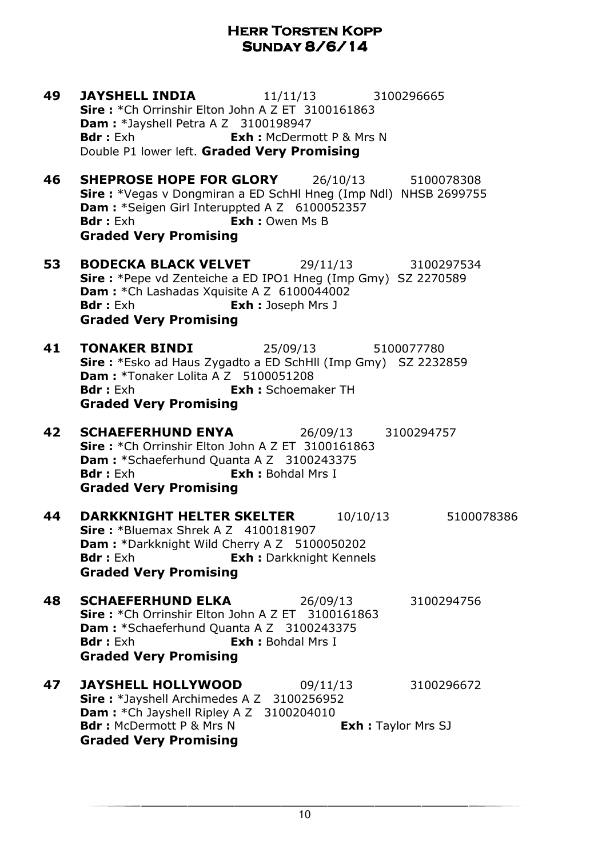**49 JAYSHELL INDIA** 11/11/13 3100296665 Sire: \*Ch Orrinshir Elton John A Z ET 3100161863 **Dam:** \*Jayshell Petra A Z 3100198947 **Bdr**: Exh **Exh:** McDermott P & Mrs N Double P1 lower left. Graded Very Promising **46 SHEPROSE HOPE FOR GLORY** 26/10/13 5100078308 Sire : \*Vegas v Dongmiran a ED SchHl Hneg (Imp Ndl) NHSB 2699755 Dam : \*Seigen Girl Interuppted A Z 6100052357 **Bdr**: Exh **Exh:** Owen Ms B Graded Very Promising **53 BODECKA BLACK VELVET** 29/11/13 3100297534 Sire : \*Pepe vd Zenteiche a ED IPO1 Hneg (Imp Gmy) SZ 2270589 Dam : \*Ch Lashadas Xquisite A Z 6100044002 **Bdr** : Exh **Exh** : Joseph Mrs J Graded Very Promising **41 TONAKER BINDI** 25/09/13 5100077780 Sire : \*Esko ad Haus Zygadto a ED SchHll (Imp Gmy) SZ 2232859 Dam : \*Tonaker Lolita A Z 5100051208 Bdr: Exh **Exh:** Schoemaker TH Graded Very Promising 42 SCHAEFERHUND ENYA 26/09/13 3100294757 Sire: \*Ch Orrinshir Elton John A Z ET 3100161863 Dam : \*Schaeferhund Quanta A Z 3100243375 Bdr : Exh **Exh : Bohdal Mrs I** Graded Very Promising **44 DARKKNIGHT HELTER SKELTER** 10/10/13 5100078386 **Sire: \*Bluemax Shrek A Z 4100181907** Dam : \*Darkknight Wild Cherry A Z 5100050202 **Bdr**: Exh **Exh:** Darkknight Kennels Graded Very Promising 48 SCHAEFERHUND ELKA 26/09/13 3100294756 Sire: \*Ch Orrinshir Elton John A Z ET 3100161863 Dam : \*Schaeferhund Quanta A Z 3100243375 Bdr : Exh **Exh :** Bohdal Mrs I Graded Very Promising **47 JAYSHELL HOLLYWOOD** 09/11/13 3100296672 Sire: \*Jayshell Archimedes A Z 3100256952 Dam : \* Ch Jayshell Ripley A Z 3100204010 **Bdr** : McDermott P & Mrs N Exh : Taylor Mrs SJ Graded Very Promising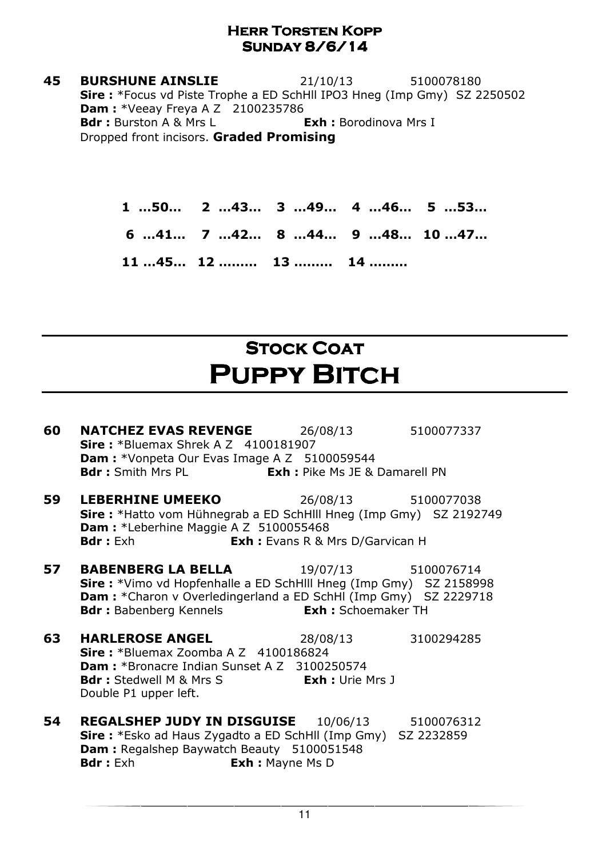**45 BURSHUNE AINSLIE** 21/10/13 5100078180 Sire : \*Focus vd Piste Trophe a ED SchHll IPO3 Hneg (Imp Gmy) SZ 2250502 **Dam:** \*Veeay Freya A Z 2100235786 Bdr : Burston A & Mrs L Exh : Borodinova Mrs I Dropped front incisors. Graded Promising

> 1 …50… 2 …43… 3 …49… 4 …46… 5 …53… 6 …41… 7 …42… 8 …44… 9 …48… 10 …47… 11 …45… 12 ……… 13 ……… 14 ………

# **STOCK COAT** PUPPY BITCH

| 60 | <b>NATCHEZ EVAS REVENGE</b> 26/08/13<br><b>Sire:</b> *Bluemax Shrek A $Z$ 4100181907<br><b>Dam:</b> *Vonpeta Our Evas Image A Z 5100059544                                                                                                                     |          | 5100077337 |
|----|----------------------------------------------------------------------------------------------------------------------------------------------------------------------------------------------------------------------------------------------------------------|----------|------------|
|    | <b>Bdr</b> : Smith Mrs PL <b>Exh:</b> Pike Ms JE & Damarell PN                                                                                                                                                                                                 |          |            |
| 59 | <b>LEBERHINE UMEEKO</b> 26/08/13 5100077038<br><b>Sire:</b> *Hatto vom Hühnegrab a ED SchHlll Hneg (Imp Gmy) SZ 2192749<br><b>Dam:</b> *Leberhine Maggie A Z 5100055468<br><b>Bdr</b> : Exh<br><b>Exh:</b> Evans R & Mrs D/Garvican H                          |          |            |
| 57 | <b>BABENBERG LA BELLA</b> 19/07/13 5100076714<br><b>Sire:</b> *Vimo vd Hopfenhalle a ED SchHlll Hneg (Imp Gmy) SZ 2158998<br><b>Dam:</b> *Charon v Overledingerland a ED SchHI (Imp Gmy) SZ 2229718<br><b>Bdr:</b> Babenberg Kennels <b>Exh:</b> Schoemaker TH |          |            |
| 63 | <b>HARLEROSE ANGEL</b><br><b>Sire:</b> *Bluemax Zoomba A Z $4100186824$<br><b>Dam: *</b> Bronacre Indian Sunset A Z 3100250574<br><b>Bdr:</b> Stedwell M & Mrs S <b>Exh:</b> Urie Mrs J<br>Double P1 upper left.                                               | 28/08/13 | 3100294285 |
| 54 | <b>REGALSHEP JUDY IN DISGUISE</b> 10/06/13<br><b>Sire:</b> *Esko ad Haus Zygadto a ED SchHll (Imp Gmy) SZ 2232859<br>Dam : Regalshep Baywatch Beauty 5100051548<br><b>Bdr</b> : Exh<br><b>Exh:</b> Mayne Ms D                                                  |          | 5100076312 |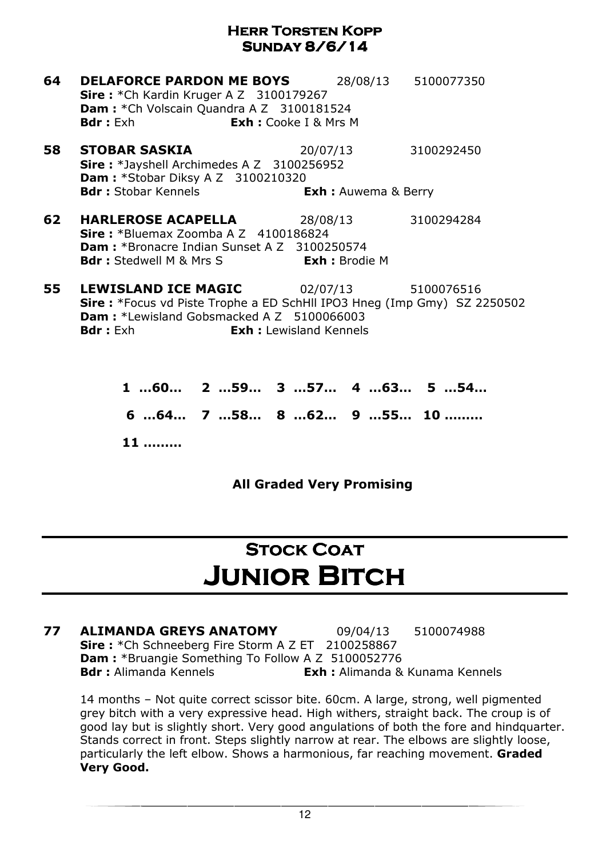| 64 | <b>DELAFORCE PARDON ME BOYS</b><br><b>Sire:</b> *Ch Kardin Kruger A Z 3100179267<br><b>Dam:</b> *Ch Volscain Quandra A Z 3100181524                                                                                                       |                             | 28/08/13 5100077350 |
|----|-------------------------------------------------------------------------------------------------------------------------------------------------------------------------------------------------------------------------------------------|-----------------------------|---------------------|
|    | <b>Bdr:</b> Exh <b>Exh:</b> Cooke I & Mrs M                                                                                                                                                                                               |                             |                     |
| 58 | <b>STOBAR SASKIA</b><br><b>Sire:</b> *Jayshell Archimedes A Z 3100256952<br><b>Dam: *Stobar Diksy A Z 3100210320</b>                                                                                                                      | 20/07/13 3100292450         |                     |
|    | <b>Bdr:</b> Stobar Kennels                                                                                                                                                                                                                | <b>Exh :</b> Auwema & Berry |                     |
| 62 | <b>HARLEROSE ACAPELLA</b><br><b>Sire:</b> *Bluemax Zoomba A Z $4100186824$<br><b>Dam: *</b> Bronacre Indian Sunset A Z 3100250574<br><b>Bdr</b> : Stedwell M & Mrs S <b>Exh</b> : Brodie M                                                | 28/08/13                    | 3100294284          |
| 55 | <b>LEWISLAND ICE MAGIC</b> 02/07/13 5100076516<br><b>Sire:</b> *Focus vd Piste Trophe a ED SchHll IPO3 Hneg (Imp Gmy) SZ 2250502<br><b>Dam: *Lewisland Gobsmacked A Z 5100066003</b><br><b>Exh:</b> Lewisland Kennels<br><b>Bdr</b> : Exh |                             |                     |

1 …60… 2 …59… 3 …57… 4 …63… 5 …54… 6 …64… 7 …58… 8 …62… 9 …55… 10 ……… 11 ………

All Graded Very Promising

# **STOCK COAT** Junior Bitch

77 ALIMANDA GREYS ANATOMY 09/04/13 5100074988 Sire: \*Ch Schneeberg Fire Storm A Z ET 2100258867 Dam : \*Bruangie Something To Follow A Z 5100052776 **Bdr :** Alimanda Kennels **Exh :** Alimanda & Kunama Kennels

14 months – Not quite correct scissor bite. 60cm. A large, strong, well pigmented grey bitch with a very expressive head. High withers, straight back. The croup is of good lay but is slightly short. Very good angulations of both the fore and hindquarter. Stands correct in front. Steps slightly narrow at rear. The elbows are slightly loose, particularly the left elbow. Shows a harmonious, far reaching movement. Graded Very Good.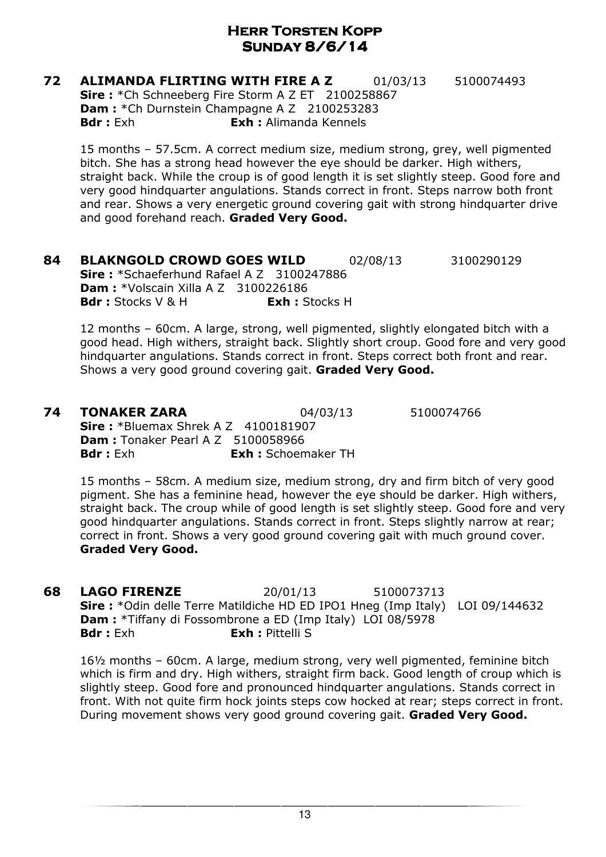**72 ALIMANDA FLIRTING WITH FIRE A Z** 01/03/13 5100074493 Sire: \*Ch Schneeberg Fire Storm A Z ET 2100258867 Dam : \* Ch Durnstein Champagne A Z 2100253283 Bdr : Exh **Exh :** Alimanda Kennels

15 months – 57.5cm. A correct medium size, medium strong, grey, well pigmented bitch. She has a strong head however the eye should be darker. High withers, straight back. While the croup is of good length it is set slightly steep. Good fore and very good hindquarter angulations. Stands correct in front. Steps narrow both front and rear. Shows a very energetic ground covering gait with strong hindquarter drive and good forehand reach. Graded Very Good.

**84 BLAKNGOLD CROWD GOES WILD** 02/08/13 3100290129 Sire: \*Schaeferhund Rafael A Z 3100247886 **Dam: \***Volscain Xilla A Z 3100226186 **Bdr**: Stocks V & H **Exh** : Stocks H

12 months – 60cm. A large, strong, well pigmented, slightly elongated bitch with a good head. High withers, straight back. Slightly short croup. Good fore and very good hindquarter angulations. Stands correct in front. Steps correct both front and rear. Shows a very good ground covering gait. Graded Very Good.

#### **74 TONAKER ZARA** 04/03/13 5100074766

Sire : \*Bluemax Shrek A Z 4100181907 **Dam:** Tonaker Pearl A Z 5100058966 Bdr : Exh **Exh :** Schoemaker TH

15 months – 58cm. A medium size, medium strong, dry and firm bitch of very good pigment. She has a feminine head, however the eye should be darker. High withers, straight back. The croup while of good length is set slightly steep. Good fore and very good hindquarter angulations. Stands correct in front. Steps slightly narrow at rear; correct in front. Shows a very good ground covering gait with much ground cover. Graded Very Good.

**68 LAGO FIRENZE** 20/01/13 5100073713 Sire : \*Odin delle Terre Matildiche HD ED IPO1 Hneg (Imp Italy) LOI 09/144632 Dam : \*Tiffany di Fossombrone a ED (Imp Italy) LOI 08/5978 Bdr : Exh **Exh : Pittelli S** 

16½ months – 60cm. A large, medium strong, very well pigmented, feminine bitch which is firm and dry. High withers, straight firm back. Good length of croup which is slightly steep. Good fore and pronounced hindquarter angulations. Stands correct in front. With not quite firm hock joints steps cow hocked at rear; steps correct in front. During movement shows very good ground covering gait. Graded Very Good.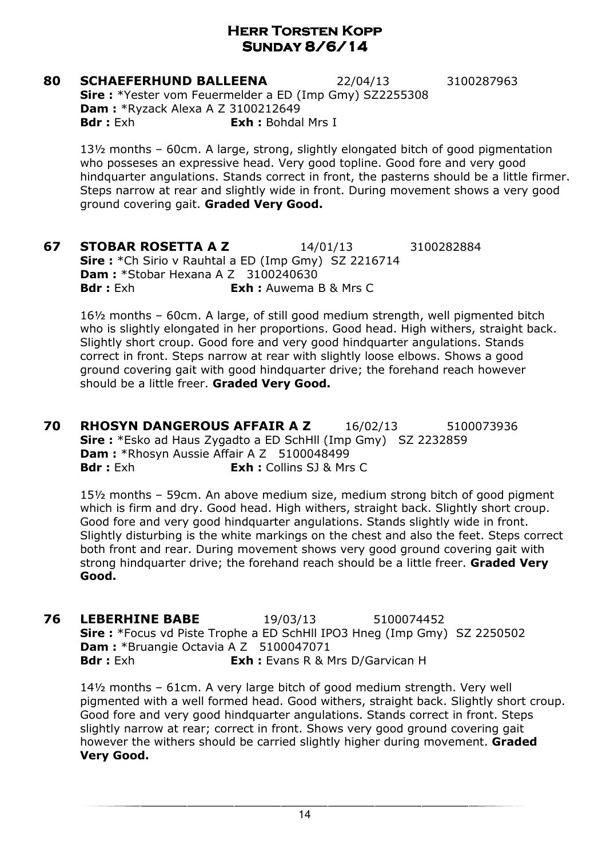**80 SCHAEFERHUND BALLEENA** 22/04/13 3100287963 Sire : \*Yester vom Feuermelder a ED (Imp Gmy) SZ2255308 Dam : \*Ryzack Alexa A Z 3100212649 **Bdr**: Exh **Exh:** Bohdal Mrs I

13½ months – 60cm. A large, strong, slightly elongated bitch of good pigmentation who posseses an expressive head. Very good topline. Good fore and very good hindquarter angulations. Stands correct in front, the pasterns should be a little firmer. Steps narrow at rear and slightly wide in front. During movement shows a very good ground covering gait. Graded Very Good.

**67 STOBAR ROSETTA A Z** 14/01/13 3100282884 Sire : \*Ch Sirio v Rauhtal a ED (Imp Gmy) SZ 2216714 **Dam: \*Stobar Hexana A Z 3100240630 Bdr**: Exh : **Exh** : Auwema B & Mrs C

16½ months – 60cm. A large, of still good medium strength, well pigmented bitch who is slightly elongated in her proportions. Good head. High withers, straight back. Slightly short croup. Good fore and very good hindquarter angulations. Stands correct in front. Steps narrow at rear with slightly loose elbows. Shows a good ground covering gait with good hindquarter drive; the forehand reach however should be a little freer. Graded Very Good.

**70 RHOSYN DANGEROUS AFFAIR A Z** 16/02/13 5100073936 Sire : \*Esko ad Haus Zygadto a ED SchHll (Imp Gmy) SZ 2232859 Dam: \*Rhosyn Aussie Affair A Z 5100048499 **Bdr**: Exh **Exh:** Collins SJ & Mrs C

15½ months – 59cm. An above medium size, medium strong bitch of good pigment which is firm and dry. Good head. High withers, straight back. Slightly short croup. Good fore and very good hindquarter angulations. Stands slightly wide in front. Slightly disturbing is the white markings on the chest and also the feet. Steps correct both front and rear. During movement shows very good ground covering gait with strong hindquarter drive; the forehand reach should be a little freer. Graded Very Good.

**76 LEBERHINE BABE** 19/03/13 5100074452 Sire : \*Focus vd Piste Trophe a ED SchHll IPO3 Hneg (Imp Gmy) SZ 2250502 Dam : \*Bruangie Octavia A Z 5100047071 **Bdr :** Exh **Exh :** Evans R & Mrs D/Garvican H

14½ months – 61cm. A very large bitch of good medium strength. Very well pigmented with a well formed head. Good withers, straight back. Slightly short croup. Good fore and very good hindquarter angulations. Stands correct in front. Steps slightly narrow at rear; correct in front. Shows very good ground covering gait however the withers should be carried slightly higher during movement. Graded Very Good.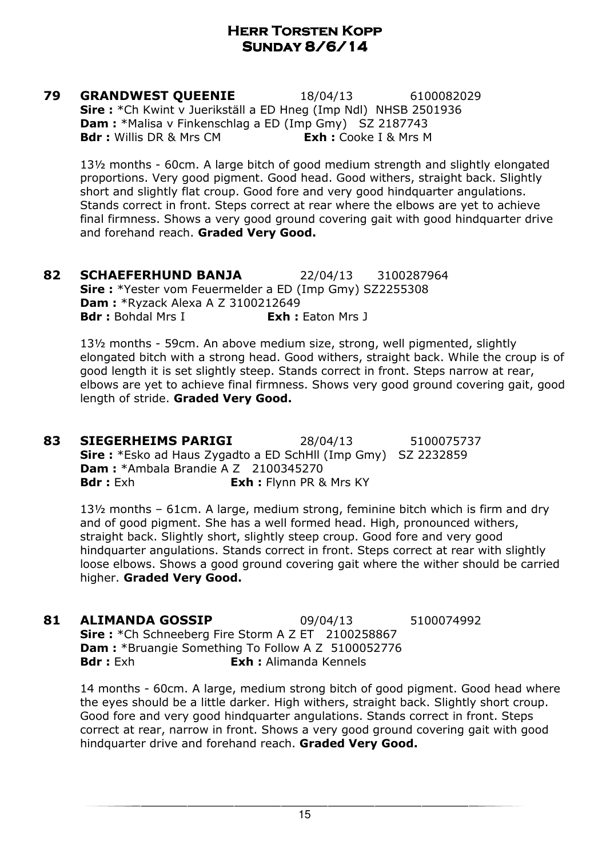**79 GRANDWEST QUEENIE** 18/04/13 6100082029 Sire : \*Ch Kwint v Juerikställ a ED Hneg (Imp Ndl) NHSB 2501936 **Dam :** \*Malisa v Finkenschlag a ED (Imp Gmy) SZ 2187743 **Bdr :** Willis DR & Mrs CM **Exh :** Cooke I & Mrs M

13½ months - 60cm. A large bitch of good medium strength and slightly elongated proportions. Very good pigment. Good head. Good withers, straight back. Slightly short and slightly flat croup. Good fore and very good hindquarter angulations. Stands correct in front. Steps correct at rear where the elbows are yet to achieve final firmness. Shows a very good ground covering gait with good hindquarter drive and forehand reach. Graded Very Good.

**82 SCHAEFERHUND BANJA** 22/04/13 3100287964 Sire : \*Yester vom Feuermelder a ED (Imp Gmy) SZ2255308 Dam : \*Ryzack Alexa A Z 3100212649 **Bdr**: Bohdal Mrs I **Exh:** Eaton Mrs J

13½ months - 59cm. An above medium size, strong, well pigmented, slightly elongated bitch with a strong head. Good withers, straight back. While the croup is of good length it is set slightly steep. Stands correct in front. Steps narrow at rear, elbows are yet to achieve final firmness. Shows very good ground covering gait, good length of stride. Graded Very Good.

83 SIEGERHEIMS PARIGI 28/04/13 5100075737 Sire : \*Esko ad Haus Zygadto a ED SchHll (Imp Gmy) SZ 2232859 Dam : \*Ambala Brandie A Z 2100345270 **Bdr :** Exh **Exh :** Flynn PR & Mrs KY

13½ months – 61cm. A large, medium strong, feminine bitch which is firm and dry and of good pigment. She has a well formed head. High, pronounced withers, straight back. Slightly short, slightly steep croup. Good fore and very good hindquarter angulations. Stands correct in front. Steps correct at rear with slightly loose elbows. Shows a good ground covering gait where the wither should be carried higher. Graded Very Good.

**81 ALIMANDA GOSSIP** 09/04/13 5100074992 Sire: \*Ch Schneeberg Fire Storm A Z ET 2100258867 Dam : \*Bruangie Something To Follow A Z 5100052776 **Bdr**: Exh **Exh:** Alimanda Kennels

14 months - 60cm. A large, medium strong bitch of good pigment. Good head where the eyes should be a little darker. High withers, straight back. Slightly short croup. Good fore and very good hindquarter angulations. Stands correct in front. Steps correct at rear, narrow in front. Shows a very good ground covering gait with good hindquarter drive and forehand reach. Graded Very Good.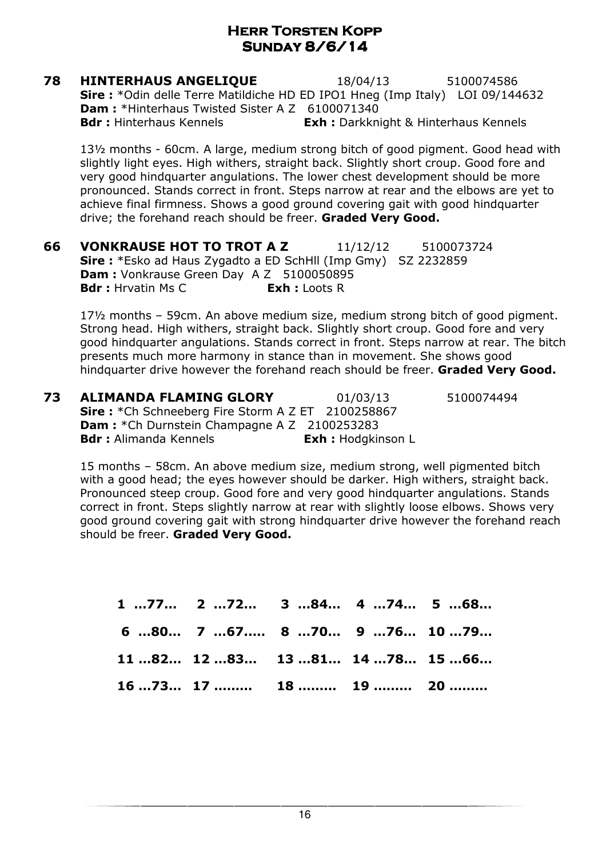**78 HINTERHAUS ANGELIQUE** 18/04/13 5100074586 Sire : \*Odin delle Terre Matildiche HD ED IPO1 Hneg (Imp Italy) LOI 09/144632 Dam: \*Hinterhaus Twisted Sister A Z 6100071340 **Bdr :** Hinterhaus Kennels **Exh :** Darkknight & Hinterhaus Kennels

13½ months - 60cm. A large, medium strong bitch of good pigment. Good head with slightly light eyes. High withers, straight back. Slightly short croup. Good fore and very good hindquarter angulations. The lower chest development should be more pronounced. Stands correct in front. Steps narrow at rear and the elbows are yet to achieve final firmness. Shows a good ground covering gait with good hindquarter drive; the forehand reach should be freer. Graded Very Good.

**66 VONKRAUSE HOT TO TROT A Z** 11/12/12 5100073724 Sire : \*Esko ad Haus Zygadto a ED SchHll (Imp Gmy) SZ 2232859 Dam : Vonkrause Green Day A Z 5100050895 **Bdr** : Hrvatin Ms C **Exh** : Loots R

17½ months – 59cm. An above medium size, medium strong bitch of good pigment. Strong head. High withers, straight back. Slightly short croup. Good fore and very good hindquarter angulations. Stands correct in front. Steps narrow at rear. The bitch presents much more harmony in stance than in movement. She shows good hindquarter drive however the forehand reach should be freer. Graded Very Good.

**73 ALIMANDA FLAMING GLORY** 01/03/13 5100074494 Sire: \*Ch Schneeberg Fire Storm A Z ET 2100258867 Dam : \* Ch Durnstein Champagne A Z 2100253283 Bdr : Alimanda Kennels **Exh : Hodgkinson L** 

15 months – 58cm. An above medium size, medium strong, well pigmented bitch with a good head; the eyes however should be darker. High withers, straight back. Pronounced steep croup. Good fore and very good hindquarter angulations. Stands correct in front. Steps slightly narrow at rear with slightly loose elbows. Shows very good ground covering gait with strong hindquarter drive however the forehand reach should be freer. Graded Very Good.

| $1 \dots 77$ 2 $\dots 72$ 3 $\dots 84$ 4 $\dots 74$ 5 $\dots 68$ |  |  |
|------------------------------------------------------------------|--|--|
| 6 80 7 67 8 70 9 76 10 79                                        |  |  |
| $1182$ $1283$ $1381$ $1478$ $1566$                               |  |  |
| 1673 17 18 19 20                                                 |  |  |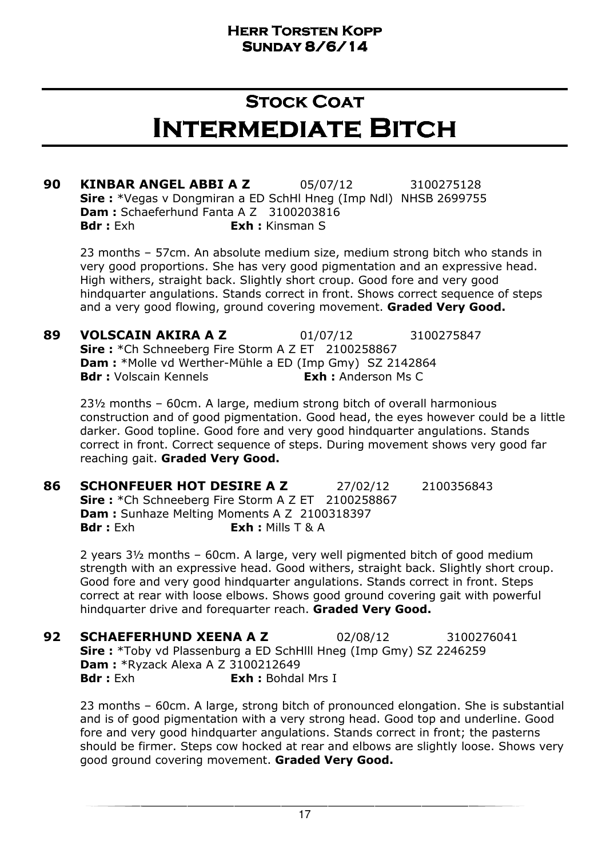### Stock Coat Intermediate Bitch

90 KINBAR ANGEL ABBI A Z 05/07/12 3100275128 Sire : \*Vegas v Dongmiran a ED SchHl Hneg (Imp Ndl) NHSB 2699755 Dam : Schaeferhund Fanta A Z 3100203816 **Bdr** : Exh : Exh : Kinsman S

23 months – 57cm. An absolute medium size, medium strong bitch who stands in very good proportions. She has very good pigmentation and an expressive head. High withers, straight back. Slightly short croup. Good fore and very good hindquarter angulations. Stands correct in front. Shows correct sequence of steps and a very good flowing, ground covering movement. Graded Very Good.

89 VOLSCAIN AKIRA A Z 01/07/12 3100275847 Sire: \*Ch Schneeberg Fire Storm A Z ET 2100258867 Dam : \*Molle vd Werther-Mühle a ED (Imp Gmy) SZ 2142864 **Bdr :** Volscain Kennels **Exh :** Anderson Ms C

23½ months – 60cm. A large, medium strong bitch of overall harmonious construction and of good pigmentation. Good head, the eyes however could be a little darker. Good topline. Good fore and very good hindquarter angulations. Stands correct in front. Correct sequence of steps. During movement shows very good far reaching gait. Graded Very Good.

**86 SCHONFEUER HOT DESIRE A Z 27/02/12 2100356843** Sire: \*Ch Schneeberg Fire Storm A Z ET 2100258867 Dam : Sunhaze Melting Moments A Z 2100318397 Bdr : Exh **Exh :** Mills T & A

2 years 3½ months – 60cm. A large, very well pigmented bitch of good medium strength with an expressive head. Good withers, straight back. Slightly short croup. Good fore and very good hindquarter angulations. Stands correct in front. Steps correct at rear with loose elbows. Shows good ground covering gait with powerful hindquarter drive and forequarter reach. Graded Very Good.

**92 SCHAEFERHUND XEENA A Z** 02/08/12 3100276041 Sire : \*Toby vd Plassenburg a ED SchHlll Hneg (Imp Gmy) SZ 2246259 Dam : \*Ryzack Alexa A Z 3100212649 **Bdr**: Exh **Exh:** Bohdal Mrs I

23 months – 60cm. A large, strong bitch of pronounced elongation. She is substantial and is of good pigmentation with a very strong head. Good top and underline. Good fore and very good hindquarter angulations. Stands correct in front; the pasterns should be firmer. Steps cow hocked at rear and elbows are slightly loose. Shows very good ground covering movement. Graded Very Good.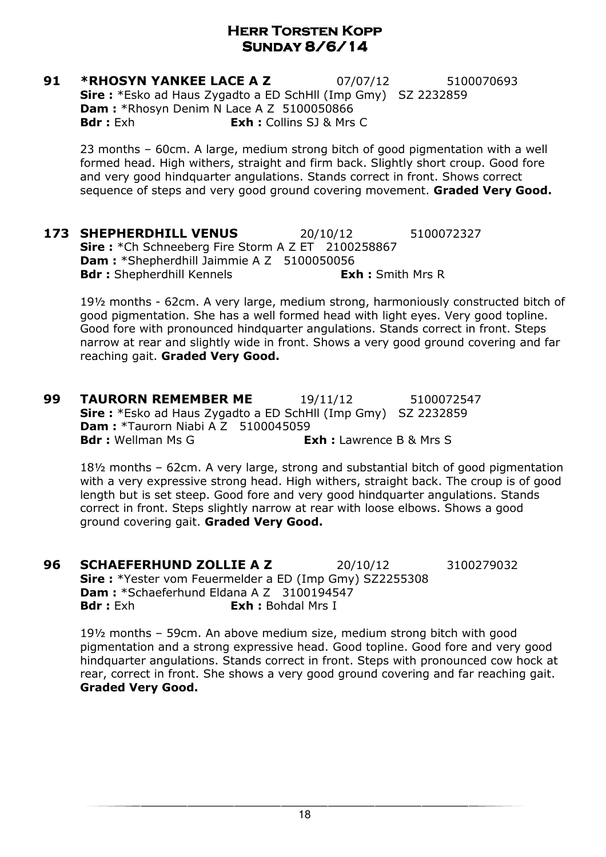**91 \*RHOSYN YANKEE LACE A Z** 07/07/12 5100070693 Sire : \*Esko ad Haus Zygadto a ED SchHll (Imp Gmy) SZ 2232859 Dam : \*Rhosyn Denim N Lace A Z 5100050866 **Bdr**: Exh **Exh:** Collins SJ & Mrs C

23 months – 60cm. A large, medium strong bitch of good pigmentation with a well formed head. High withers, straight and firm back. Slightly short croup. Good fore and very good hindquarter angulations. Stands correct in front. Shows correct sequence of steps and very good ground covering movement. Graded Very Good.

**173 SHEPHERDHILL VENUS** 20/10/12 5100072327 Sire: \*Ch Schneeberg Fire Storm A Z ET 2100258867 Dam : \*Shepherdhill Jaimmie A Z 5100050056 **Bdr :** Shepherdhill Kennels **Exh :** Smith Mrs R

19½ months - 62cm. A very large, medium strong, harmoniously constructed bitch of good pigmentation. She has a well formed head with light eyes. Very good topline. Good fore with pronounced hindquarter angulations. Stands correct in front. Steps narrow at rear and slightly wide in front. Shows a very good ground covering and far reaching gait. Graded Very Good.

**99 TAURORN REMEMBER ME** 19/11/12 5100072547 Sire : \*Esko ad Haus Zygadto a ED SchHll (Imp Gmy) SZ 2232859 **Dam: \*Taurorn Niabi A Z 5100045059 Bdr :** Wellman Ms G **Exh : Lawrence B & Mrs S** 

18½ months – 62cm. A very large, strong and substantial bitch of good pigmentation with a very expressive strong head. High withers, straight back. The croup is of good length but is set steep. Good fore and very good hindquarter angulations. Stands correct in front. Steps slightly narrow at rear with loose elbows. Shows a good ground covering gait. Graded Very Good.

**96 SCHAEFERHUND ZOLLIE A Z** 20/10/12 3100279032 Sire : \*Yester vom Feuermelder a ED (Imp Gmy) SZ2255308 Dam : \*Schaeferhund Eldana A Z 3100194547 **Bdr** : Exh **Exh :** Bohdal Mrs I

19½ months – 59cm. An above medium size, medium strong bitch with good pigmentation and a strong expressive head. Good topline. Good fore and very good hindquarter angulations. Stands correct in front. Steps with pronounced cow hock at rear, correct in front. She shows a very good ground covering and far reaching gait. Graded Very Good.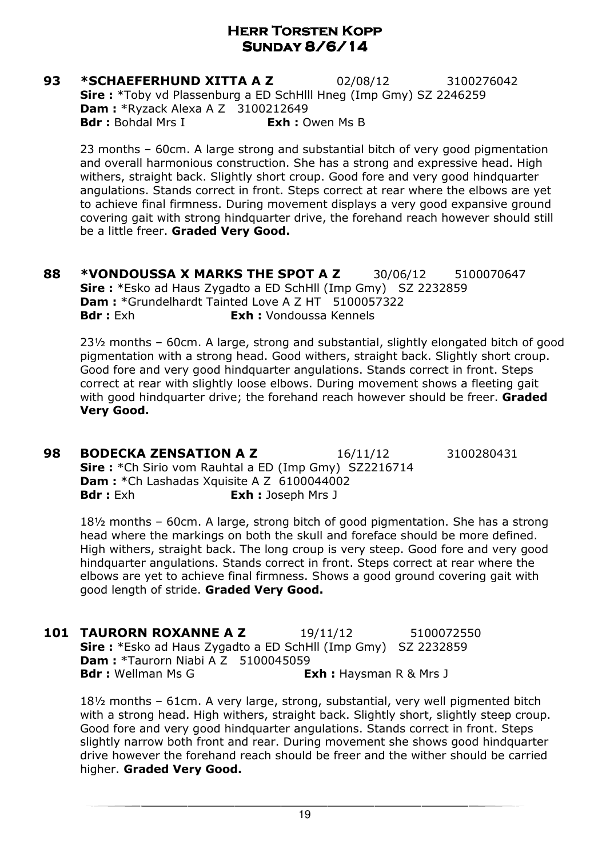**93 \*SCHAEFERHUND XITTA A Z** 02/08/12 3100276042 Sire : \*Toby vd Plassenburg a ED SchHlll Hneg (Imp Gmy) SZ 2246259 **Dam: \*Ryzack Alexa A Z 3100212649 Bdr**: Bohdal Mrs I **Exh:** Owen Ms B

23 months – 60cm. A large strong and substantial bitch of very good pigmentation and overall harmonious construction. She has a strong and expressive head. High withers, straight back. Slightly short croup. Good fore and very good hindquarter angulations. Stands correct in front. Steps correct at rear where the elbows are yet to achieve final firmness. During movement displays a very good expansive ground covering gait with strong hindquarter drive, the forehand reach however should still be a little freer. Graded Very Good.

88 \*VONDOUSSA X MARKS THE SPOT A Z 30/06/12 5100070647 Sire : \*Esko ad Haus Zygadto a ED SchHll (Imp Gmy) SZ 2232859 Dam : \*Grundelhardt Tainted Love A Z HT 5100057322 Bdr : Exh **Exh : Vondoussa Kennels** 

23½ months – 60cm. A large, strong and substantial, slightly elongated bitch of good pigmentation with a strong head. Good withers, straight back. Slightly short croup. Good fore and very good hindquarter angulations. Stands correct in front. Steps correct at rear with slightly loose elbows. During movement shows a fleeting gait with good hindquarter drive; the forehand reach however should be freer. Graded Very Good.

**98 BODECKA ZENSATION A Z** 16/11/12 3100280431 Sire : \*Ch Sirio vom Rauhtal a ED (Imp Gmy) SZ2216714 **Dam :** \*Ch Lashadas Xquisite A Z 6100044002 **Bdr**: Exh **Exh:** Joseph Mrs J

18½ months – 60cm. A large, strong bitch of good pigmentation. She has a strong head where the markings on both the skull and foreface should be more defined. High withers, straight back. The long croup is very steep. Good fore and very good hindquarter angulations. Stands correct in front. Steps correct at rear where the elbows are yet to achieve final firmness. Shows a good ground covering gait with good length of stride. Graded Very Good.

**101 TAURORN ROXANNE A Z** 19/11/12 5100072550 Sire : \*Esko ad Haus Zygadto a ED SchHll (Imp Gmy) SZ 2232859 **Dam: \*Taurorn Niabi A Z 5100045059 Bdr** : Wellman Ms G **Exh** : Haysman R & Mrs J

18½ months – 61cm. A very large, strong, substantial, very well pigmented bitch with a strong head. High withers, straight back. Slightly short, slightly steep croup. Good fore and very good hindquarter angulations. Stands correct in front. Steps slightly narrow both front and rear. During movement she shows good hindquarter drive however the forehand reach should be freer and the wither should be carried higher. Graded Very Good.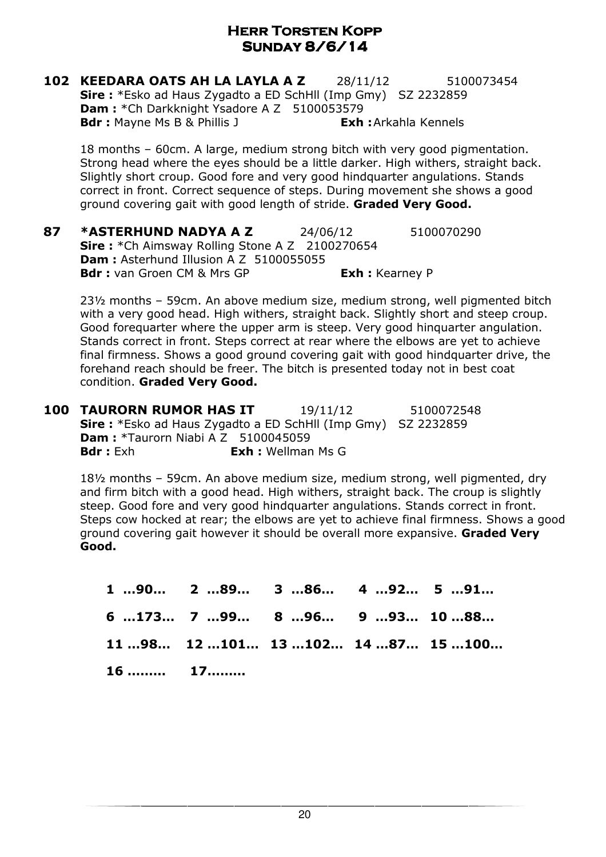102 KEEDARA OATS AH LA LAYLA A Z 28/11/12 5100073454 Sire : \*Esko ad Haus Zygadto a ED SchHll (Imp Gmy) SZ 2232859 Dam: \*Ch Darkknight Ysadore A Z 5100053579 **Bdr :** Mayne Ms B & Phillis J **Exh :** Arkahla Kennels

18 months – 60cm. A large, medium strong bitch with very good pigmentation. Strong head where the eyes should be a little darker. High withers, straight back. Slightly short croup. Good fore and very good hindquarter angulations. Stands correct in front. Correct sequence of steps. During movement she shows a good ground covering gait with good length of stride. Graded Very Good.

87 **\*ASTERHUND NADYA A Z** 24/06/12 5100070290 Sire: \*Ch Aimsway Rolling Stone A Z 2100270654 Dam : Asterhund Illusion A Z 5100055055 Bdr : van Groen CM & Mrs GP Fach : Kearney P

23½ months – 59cm. An above medium size, medium strong, well pigmented bitch with a very good head. High withers, straight back. Slightly short and steep croup. Good forequarter where the upper arm is steep. Very good hinquarter angulation. Stands correct in front. Steps correct at rear where the elbows are yet to achieve final firmness. Shows a good ground covering gait with good hindquarter drive, the forehand reach should be freer. The bitch is presented today not in best coat condition. Graded Very Good.

**100 TAURORN RUMOR HAS IT** 19/11/12 5100072548 Sire : \*Esko ad Haus Zygadto a ED SchHll (Imp Gmy) SZ 2232859 **Dam :** \*Taurorn Niabi A Z 5100045059<br>**Bdr :** Exh **Exh :** Wellman Exh : Wellman Ms G

18½ months – 59cm. An above medium size, medium strong, well pigmented, dry and firm bitch with a good head. High withers, straight back. The croup is slightly steep. Good fore and very good hindquarter angulations. Stands correct in front. Steps cow hocked at rear; the elbows are yet to achieve final firmness. Shows a good ground covering gait however it should be overall more expansive. Graded Very Good.

1 …90… 2 …89… 3 …86… 4 …92… 5 …91… 6 …173… 7 …99… 8 …96… 9 …93… 10 …88… 11 …98… 12 …101… 13 …102… 14 …87… 15 …100… 16 ……… 17………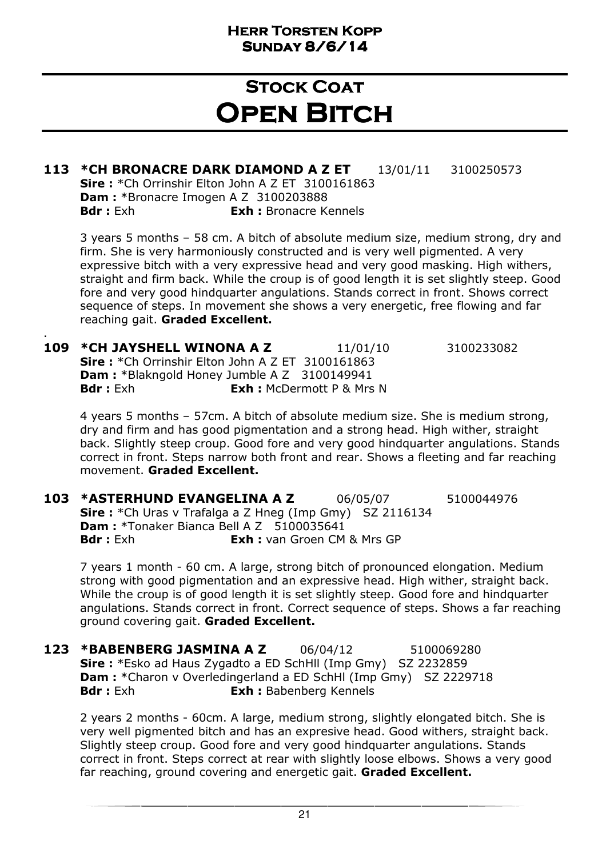## **STOCK COAT OPEN BITCH**

### 113 \*CH BRONACRE DARK DIAMOND A Z ET 13/01/11 3100250573

Sire: \*Ch Orrinshir Elton John A Z ET 3100161863 Dam : \*Bronacre Imogen A Z 3100203888 **Bdr :** Exh **Exh :** Bronacre Kennels

.

3 years 5 months – 58 cm. A bitch of absolute medium size, medium strong, dry and firm. She is very harmoniously constructed and is very well pigmented. A very expressive bitch with a very expressive head and very good masking. High withers, straight and firm back. While the croup is of good length it is set slightly steep. Good fore and very good hindquarter angulations. Stands correct in front. Shows correct sequence of steps. In movement she shows a very energetic, free flowing and far reaching gait. Graded Excellent.

**109 \*CH JAYSHELL WINONA A Z** 11/01/10 3100233082 Sire: \*Ch Orrinshir Elton John A Z ET 3100161863 Dam : \*Blakngold Honey Jumble A Z 3100149941 **Bdr** : Exh **Exh : McDermott P & Mrs N** 

4 years 5 months – 57cm. A bitch of absolute medium size. She is medium strong, dry and firm and has good pigmentation and a strong head. High wither, straight back. Slightly steep croup. Good fore and very good hindquarter angulations. Stands correct in front. Steps narrow both front and rear. Shows a fleeting and far reaching movement. Graded Excellent.

**103 \*ASTERHUND EVANGELINA A Z** 06/05/07 5100044976 Sire : \*Ch Uras v Trafalga a Z Hneg (Imp Gmy) SZ 2116134 **Dam :** \*Tonaker Bianca Bell A Z 5100035641<br>**Bdr :** Exh **Exh :** van Groen CM **Exh : van Groen CM & Mrs GP** 

7 years 1 month - 60 cm. A large, strong bitch of pronounced elongation. Medium strong with good pigmentation and an expressive head. High wither, straight back. While the croup is of good length it is set slightly steep. Good fore and hindquarter angulations. Stands correct in front. Correct sequence of steps. Shows a far reaching ground covering gait. Graded Excellent.

123 \*BABENBERG JASMINA A Z 06/04/12 5100069280 Sire : \*Esko ad Haus Zygadto a ED SchHll (Imp Gmy) SZ 2232859 **Dam :** \*Charon v Overledingerland a ED SchHl (Imp Gmy) SZ 2229718 Bdr : Exh : Exh : Babenberg Kennels

2 years 2 months - 60cm. A large, medium strong, slightly elongated bitch. She is very well pigmented bitch and has an expresive head. Good withers, straight back. Slightly steep croup. Good fore and very good hindquarter angulations. Stands correct in front. Steps correct at rear with slightly loose elbows. Shows a very good far reaching, ground covering and energetic gait. Graded Excellent.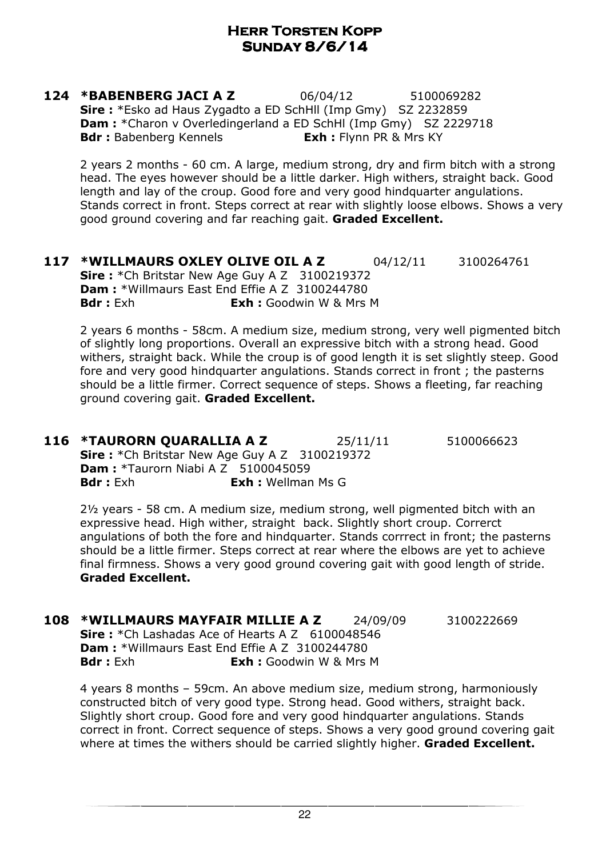124 \*BABENBERG JACI A Z 06/04/12 5100069282 Sire : \*Esko ad Haus Zygadto a ED SchHll (Imp Gmy) SZ 2232859 **Dam :** \*Charon v Overledingerland a ED SchHl (Imp Gmy) SZ 2229718 **Bdr :** Babenberg Kennels **Exh :** Flynn PR & Mrs KY

2 years 2 months - 60 cm. A large, medium strong, dry and firm bitch with a strong head. The eyes however should be a little darker. High withers, straight back. Good length and lay of the croup. Good fore and very good hindquarter angulations. Stands correct in front. Steps correct at rear with slightly loose elbows. Shows a very good ground covering and far reaching gait. Graded Excellent.

117 \*WILLMAURS OXLEY OLIVE OIL A Z 04/12/11 3100264761 Sire: \*Ch Britstar New Age Guy A Z 3100219372 Dam : \*Willmaurs East End Effie A Z 3100244780 **Bdr**: Exh **Exh:** Goodwin W & Mrs M

2 years 6 months - 58cm. A medium size, medium strong, very well pigmented bitch of slightly long proportions. Overall an expressive bitch with a strong head. Good withers, straight back. While the croup is of good length it is set slightly steep. Good fore and very good hindquarter angulations. Stands correct in front ; the pasterns should be a little firmer. Correct sequence of steps. Shows a fleeting, far reaching ground covering gait. Graded Excellent.

**116 \*TAURORN QUARALLIA A Z** 25/11/11 5100066623 Sire : \* Ch Britstar New Age Guy A Z 3100219372 **Dam: \*Taurorn Niabi A Z 5100045059** Bdr : Exh **Exh :** Wellman Ms G

2½ years - 58 cm. A medium size, medium strong, well pigmented bitch with an expressive head. High wither, straight back. Slightly short croup. Correrct angulations of both the fore and hindquarter. Stands corrrect in front; the pasterns should be a little firmer. Steps correct at rear where the elbows are yet to achieve final firmness. Shows a very good ground covering gait with good length of stride. Graded Excellent.

**108 \*WILLMAURS MAYFAIR MILLIE A Z** 24/09/09 3100222669 Sire: \*Ch Lashadas Ace of Hearts A Z 6100048546 Dam : \*Willmaurs East End Effie A Z 3100244780 **Bdr**: Exh **Exh:** Goodwin W & Mrs M

4 years 8 months – 59cm. An above medium size, medium strong, harmoniously constructed bitch of very good type. Strong head. Good withers, straight back. Slightly short croup. Good fore and very good hindquarter angulations. Stands correct in front. Correct sequence of steps. Shows a very good ground covering gait where at times the withers should be carried slightly higher. Graded Excellent.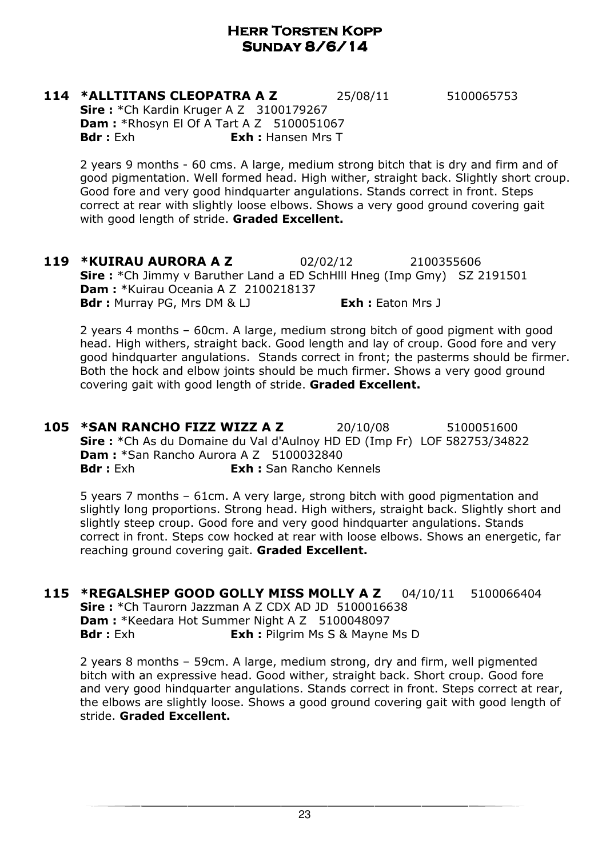#### 114 \*ALLTITANS CLEOPATRA A Z 25/08/11 5100065753 Sire: \*Ch Kardin Kruger A Z 3100179267 **Dam: \*Rhosyn El Of A Tart A Z 5100051067 Bdr**: Exh **Exh:** Hansen Mrs T

2 years 9 months - 60 cms. A large, medium strong bitch that is dry and firm and of good pigmentation. Well formed head. High wither, straight back. Slightly short croup. Good fore and very good hindquarter angulations. Stands correct in front. Steps correct at rear with slightly loose elbows. Shows a very good ground covering gait with good length of stride. Graded Excellent.

119 **\*KUIRAU AURORA A Z** 02/02/12 2100355606 Sire : \*Ch Jimmy v Baruther Land a ED SchHill Hneg (Imp Gmy) SZ 2191501 Dam : \*Kuirau Oceania A Z 2100218137 **Bdr**: Murray PG, Mrs DM & LJ **Exh:** Eaton Mrs J

2 years 4 months – 60cm. A large, medium strong bitch of good pigment with good head. High withers, straight back. Good length and lay of croup. Good fore and very good hindquarter angulations. Stands correct in front; the pasterms should be firmer. Both the hock and elbow joints should be much firmer. Shows a very good ground covering gait with good length of stride. Graded Excellent.

105 \*SAN RANCHO FIZZ WIZZ A Z 20/10/08 5100051600 Sire : \*Ch As du Domaine du Val d'Aulnoy HD ED (Imp Fr) LOF 582753/34822 Dam : \*San Rancho Aurora A Z 5100032840 **Bdr :** Exh : San Rancho Kennels

5 years 7 months – 61cm. A very large, strong bitch with good pigmentation and slightly long proportions. Strong head. High withers, straight back. Slightly short and slightly steep croup. Good fore and very good hindquarter angulations. Stands correct in front. Steps cow hocked at rear with loose elbows. Shows an energetic, far reaching ground covering gait. Graded Excellent.

115 \*REGALSHEP GOOD GOLLY MISS MOLLY A Z 04/10/11 5100066404 Sire: \*Ch Taurorn Jazzman A Z CDX AD JD 5100016638 Dam : \*Keedara Hot Summer Night A Z 5100048097 **Bdr** : Exh **Exh : Pilgrim Ms S & Mayne Ms D** 

2 years 8 months – 59cm. A large, medium strong, dry and firm, well pigmented bitch with an expressive head. Good wither, straight back. Short croup. Good fore and very good hindquarter angulations. Stands correct in front. Steps correct at rear, the elbows are slightly loose. Shows a good ground covering gait with good length of stride. Graded Excellent.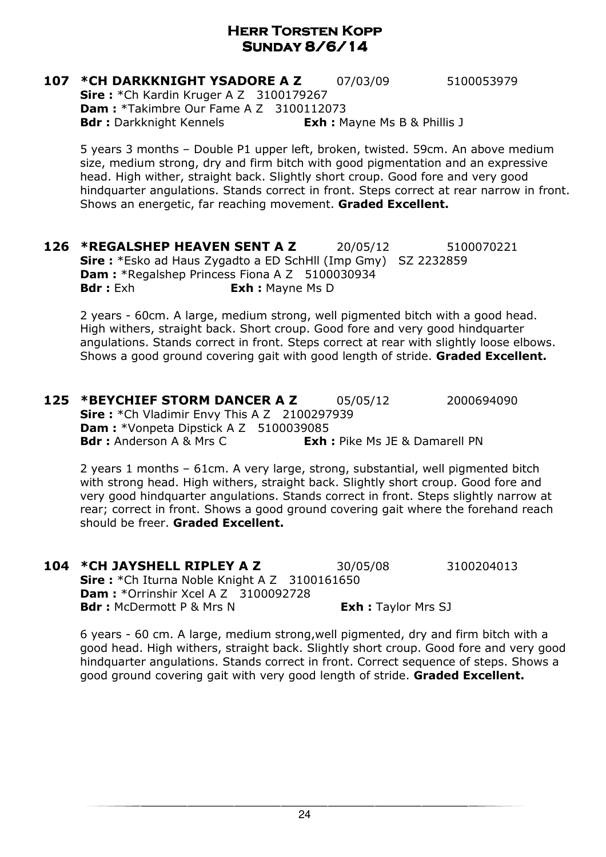#### **107 \*CH DARKKNIGHT YSADORE A Z** 07/03/09 5100053979 Sire: \*Ch Kardin Kruger A Z 3100179267 Dam : \*Takimbre Our Fame A Z 3100112073 **Bdr :** Darkknight Kennels **Exh :** Mayne Ms B & Phillis J

5 years 3 months – Double P1 upper left, broken, twisted. 59cm. An above medium size, medium strong, dry and firm bitch with good pigmentation and an expressive head. High wither, straight back. Slightly short croup. Good fore and very good hindquarter angulations. Stands correct in front. Steps correct at rear narrow in front. Shows an energetic, far reaching movement. **Graded Excellent.** 

**126 \*REGALSHEP HEAVEN SENT A Z** 20/05/12 5100070221 Sire : \*Esko ad Haus Zygadto a ED SchHll (Imp Gmy) SZ 2232859 Dam : \*Regalshep Princess Fiona A Z 5100030934 **Bdr**: Exh **Exh:** Mayne Ms D

2 years - 60cm. A large, medium strong, well pigmented bitch with a good head. High withers, straight back. Short croup. Good fore and very good hindquarter angulations. Stands correct in front. Steps correct at rear with slightly loose elbows. Shows a good ground covering gait with good length of stride. Graded Excellent.

**125 \*BEYCHIEF STORM DANCER A Z** 05/05/12 2000694090 Sire: \*Ch Vladimir Envy This A Z 2100297939 Dam : \*Vonpeta Dipstick A Z 5100039085 **Bdr**: Anderson A & Mrs C **Exh:** Pike Ms JE & Damarell PN

2 years 1 months – 61cm. A very large, strong, substantial, well pigmented bitch with strong head. High withers, straight back. Slightly short croup. Good fore and very good hindquarter angulations. Stands correct in front. Steps slightly narrow at rear; correct in front. Shows a good ground covering gait where the forehand reach should be freer. Graded Excellent.

104 \*CH JAYSHELL RIPLEY A Z 30/05/08 3100204013 Sire: \*Ch Iturna Noble Knight A Z 3100161650 **Dam: \***Orrinshir Xcel A Z 3100092728 **Bdr**: McDermott P & Mrs N Exh: Taylor Mrs SJ

6 years - 60 cm. A large, medium strong,well pigmented, dry and firm bitch with a good head. High withers, straight back. Slightly short croup. Good fore and very good hindquarter angulations. Stands correct in front. Correct sequence of steps. Shows a good ground covering gait with very good length of stride. Graded Excellent.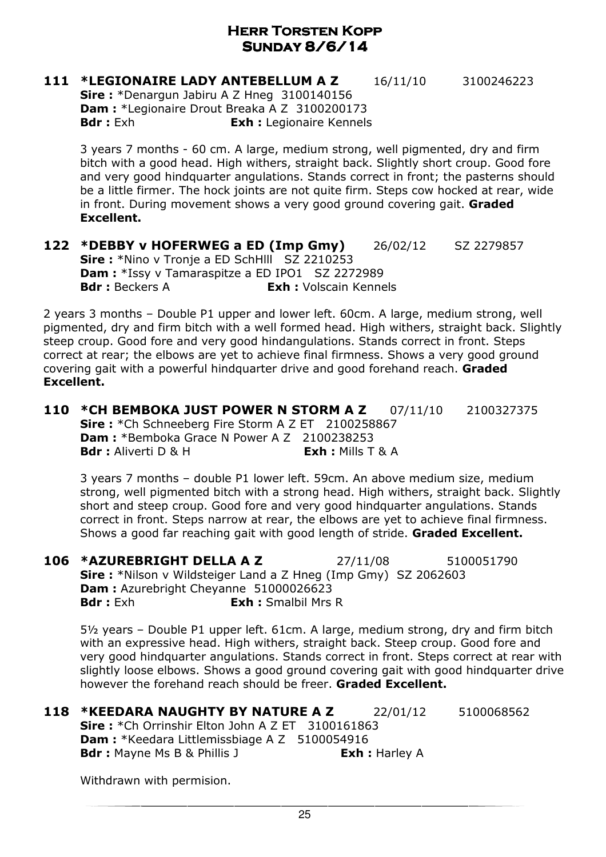**111 \*LEGIONAIRE LADY ANTEBELLUM A Z** 16/11/10 3100246223

Sire: \*Denargun Jabiru A Z Hneg 3100140156 Dam : \*Legionaire Drout Breaka A Z 3100200173 Bdr : Exh **Exh : Legionaire Kennels** 

3 years 7 months - 60 cm. A large, medium strong, well pigmented, dry and firm bitch with a good head. High withers, straight back. Slightly short croup. Good fore and very good hindquarter angulations. Stands correct in front; the pasterns should be a little firmer. The hock joints are not quite firm. Steps cow hocked at rear, wide in front. During movement shows a very good ground covering gait. **Graded** Excellent.

122 \*DEBBY v HOFERWEG a ED (Imp Gmy) 26/02/12 SZ 2279857 Sire : \*Nino v Tronje a ED SchHlll SZ 2210253 Dam: \*Issy y Tamaraspitze a ED IPO1 SZ 2272989 **Bdr**: Beckers A **Exh:** Volscain Kennels

2 years 3 months – Double P1 upper and lower left. 60cm. A large, medium strong, well pigmented, dry and firm bitch with a well formed head. High withers, straight back. Slightly steep croup. Good fore and very good hindangulations. Stands correct in front. Steps correct at rear; the elbows are yet to achieve final firmness. Shows a very good ground covering gait with a powerful hindquarter drive and good forehand reach. Graded Excellent.

110 \*CH BEMBOKA JUST POWER N STORM A Z 07/11/10 2100327375 Sire: \*Ch Schneeberg Fire Storm A Z ET 2100258867 Dam : \*Bemboka Grace N Power A Z 2100238253 Bdr : Aliverti D & H Exh : Mills T & A

3 years 7 months – double P1 lower left. 59cm. An above medium size, medium strong, well pigmented bitch with a strong head. High withers, straight back. Slightly short and steep croup. Good fore and very good hindquarter angulations. Stands correct in front. Steps narrow at rear, the elbows are yet to achieve final firmness. Shows a good far reaching gait with good length of stride. Graded Excellent.

106 \*AZUREBRIGHT DELLA A Z 27/11/08 5100051790 Sire: \*Nilson v Wildsteiger Land a Z Hneg (Imp Gmy) SZ 2062603 Dam : Azurebright Cheyanne 51000026623 **Bdr**: Exh **Exh:** Smalbil Mrs R

5½ years – Double P1 upper left. 61cm. A large, medium strong, dry and firm bitch with an expressive head. High withers, straight back. Steep croup. Good fore and very good hindquarter angulations. Stands correct in front. Steps correct at rear with slightly loose elbows. Shows a good ground covering gait with good hindquarter drive however the forehand reach should be freer. Graded Excellent.

118 \*KEEDARA NAUGHTY BY NATURE A Z 22/01/12 5100068562 Sire: \*Ch Orrinshir Elton John A Z ET 3100161863 Dam : \*Keedara Littlemissbiage A Z 5100054916 **Bdr :** Mayne Ms B & Phillis J **Exh :** Harley A

Withdrawn with permision.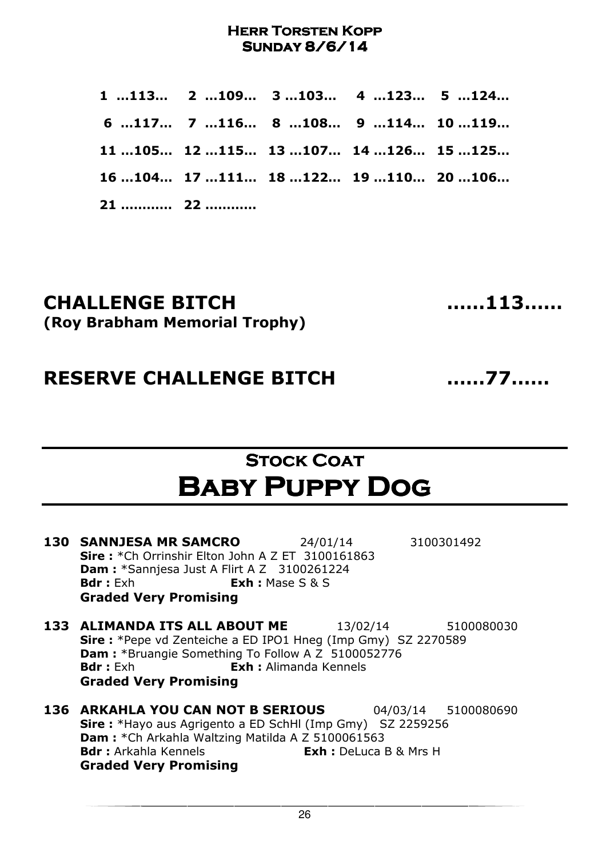1 …113… 2 …109… 3 …103… 4 …123… 5 …124… 6 …117… 7 …116… 8 …108… 9 …114… 10 …119… 11 …105… 12 …115… 13 …107… 14 …126… 15 …125… 16 …104… 17 …111… 18 …122… 19 …110… 20 …106… 21 ………… 22 …………

### CHALLENGE BITCH ……113…… (Roy Brabham Memorial Trophy)

RESERVE CHALLENGE BITCH ……77……

Stock Coat Coat Baby Puppy Dog

| <b>130 SANNJESA MR SAMCRO</b>                           | 24/01/14                   | 3100301492 |
|---------------------------------------------------------|----------------------------|------------|
| <b>Sire:</b> *Ch Orrinshir Elton John A Z ET 3100161863 |                            |            |
| <b>Dam:</b> *Sannjesa Just A Flirt A Z 3100261224       |                            |            |
| <b>Bdr</b> : Exh                                        | <b>Exh</b> : Mase $S \& S$ |            |
| <b>Graded Very Promising</b>                            |                            |            |

- **133 ALIMANDA ITS ALL ABOUT ME** 13/02/14 5100080030 Sire : \*Pepe vd Zenteiche a ED IPO1 Hneg (Imp Gmy) SZ 2270589 Dam : \*Bruangie Something To Follow A Z 5100052776 Bdr : Exh : Exh : Alimanda Kennels Graded Very Promising
- 136 ARKAHLA YOU CAN NOT B SERIOUS 04/03/14 5100080690 Sire : \*Hayo aus Agrigento a ED SchHl (Imp Gmy) SZ 2259256 Dam : \*Ch Arkahla Waltzing Matilda A Z 5100061563 Bdr : Arkahla Kennels **Exh** : DeLuca B & Mrs H Graded Very Promising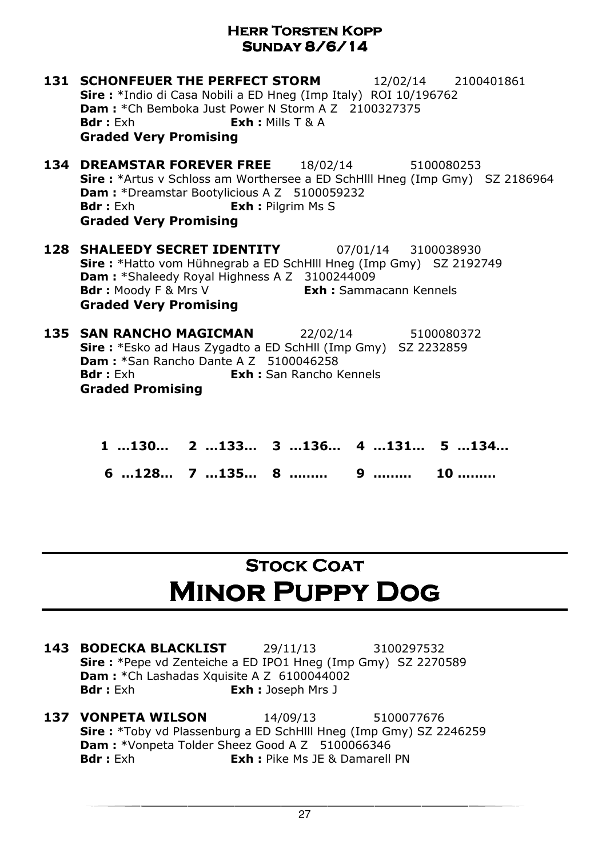| <b>131 SCHONFEUER THE PERFECT STORM</b><br>12/02/14 2100401861<br><b>Sire :</b> *Indio di Casa Nobili a ED Hneg (Imp Italy) ROI 10/196762<br><b>Dam:</b> *Ch Bemboka Just Power N Storm A Z 2100327375<br><b>Exh</b> : Mills $T$ & A<br><b>Bdr</b> : Exh<br><b>Graded Very Promising</b> |
|------------------------------------------------------------------------------------------------------------------------------------------------------------------------------------------------------------------------------------------------------------------------------------------|
| <b>134 DREAMSTAR FOREVER FREE</b><br>18/02/14<br>5100080253<br><b>Sire:</b> *Artus v Schloss am Worthersee a ED SchHill Hneg (Imp Gmy) SZ 2186964<br>Dam: *Dreamstar Bootylicious A Z 5100059232<br><b>Bdr</b> : Exh<br><b>Exh : Pilgrim Ms S</b><br><b>Graded Very Promising</b>        |
| <b>128 SHALEEDY SECRET IDENTITY</b><br>07/01/14 3100038930<br>Sire: *Hatto vom Hühnegrab a ED SchHlll Hneg (Imp Gmy) SZ 2192749<br>Dam: *Shaleedy Royal Highness A Z 3100244009<br><b>Bdr</b> : Moody F & Mrs V<br><b>Exh:</b> Sammacann Kennels<br><b>Graded Very Promising</b>         |
| 135 SAN RANCHO MAGICMAN 22/02/14<br>5100080372<br><b>Sire:</b> *Esko ad Haus Zygadto a ED SchHll (Imp Gmy) SZ 2232859<br>Dam: *San Rancho Dante A Z 5100046258<br><b>Bdr</b> : Exh<br><b>Exh:</b> San Rancho Kennels<br><b>Graded Promising</b>                                          |

| 1 130 2 133 3 136 4 131 5 134 |  |  |
|-------------------------------|--|--|
| 6 128 7 135 8  9  10          |  |  |

# **STOCK COAT** Minor Puppy Dog

- 143 BODECKA BLACKLIST 29/11/13 3100297532 Sire : \*Pepe vd Zenteiche a ED IPO1 Hneg (Imp Gmy) SZ 2270589 **Dam :** \*Ch Lashadas Xquisite A Z 6100044002<br>**Bdr :** Exh **Exh :** Joseph Mrs J Exh : Joseph Mrs J
- **137 VONPETA WILSON** 14/09/13 5100077676 Sire : \*Toby vd Plassenburg a ED SchHlll Hneg (Imp Gmy) SZ 2246259 Dam : \*Vonpeta Tolder Sheez Good A Z 5100066346 **Bdr** : Exh **Exh : Pike Ms JE & Damarell PN**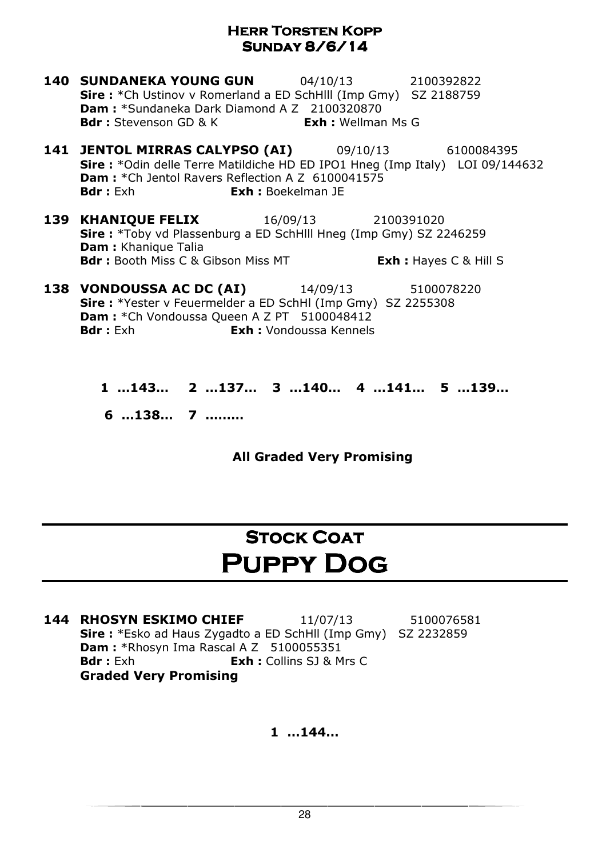- **140 SUNDANEKA YOUNG GUN** 04/10/13 2100392822 Sire : \*Ch Ustinov v Romerland a ED SchHlll (Imp Gmy) SZ 2188759 Dam : \*Sundaneka Dark Diamond A Z 2100320870 **Bdr**: Stevenson GD & K **Exh**: Wellman Ms G
- **141 JENTOL MIRRAS CALYPSO (AI)** 09/10/13 6100084395 Sire : \*Odin delle Terre Matildiche HD ED IPO1 Hneg (Imp Italy) LOI 09/144632 Dam : \* Ch Jentol Ravers Reflection A Z 6100041575 Bdr : Exh **Exh :** Boekelman JE
- **139 KHANIOUE FELIX** 16/09/13 2100391020 Sire : \*Toby vd Plassenburg a ED SchHlll Hneg (Imp Gmy) SZ 2246259 Dam : Khanique Talia **Bdr**: Booth Miss C & Gibson Miss MT **Exh:** Hayes C & Hill S

**138 VONDOUSSA AC DC (AI)** 14/09/13 5100078220 Sire : \*Yester v Feuermelder a ED SchHl (Imp Gmy) SZ 2255308 Dam : \*Ch Vondoussa Queen A Z PT 5100048412 Bdr : Exh : Vondoussa Kennels

> 1 …143… 2 …137… 3 …140… 4 …141… 5 …139… 6 …138… 7 ………

> > All Graded Very Promising

## **STOCK COAT** Puppy Dog

**144 RHOSYN ESKIMO CHIEF** 11/07/13 5100076581 Sire : \*Esko ad Haus Zygadto a ED SchHll (Imp Gmy) SZ 2232859 Dam : \*Rhosyn Ima Rascal A Z 5100055351 **Bdr :** Exh **Exh :** Collins SJ & Mrs C Graded Very Promising

1 …144…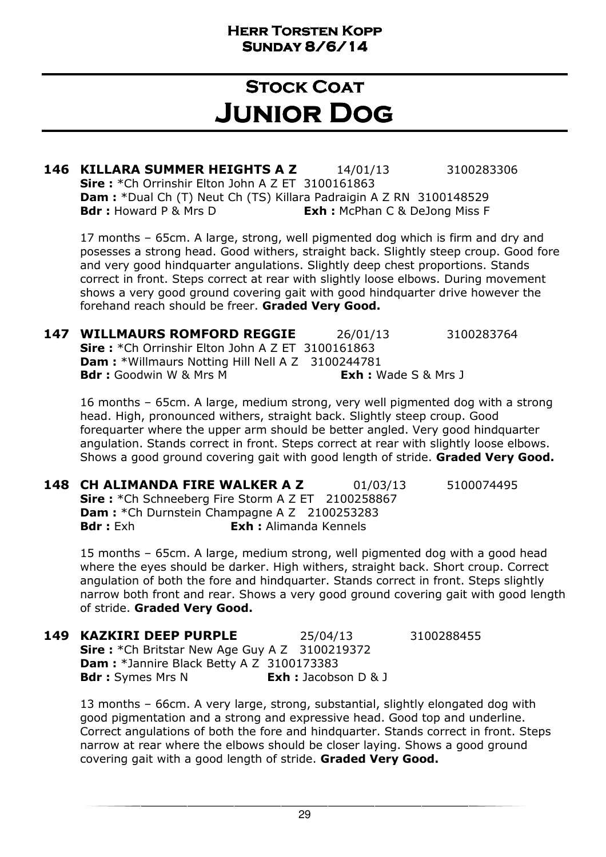### **STOCK COAT** Junior Dog

**146 KILLARA SUMMER HEIGHTS A Z** 14/01/13 3100283306 Sire: \*Ch Orrinshir Elton John A Z ET 3100161863 Dam : \*Dual Ch (T) Neut Ch (TS) Killara Padraigin A Z RN 3100148529 **Bdr :** Howard P & Mrs D **Exh :** McPhan C & DeJong Miss F

17 months – 65cm. A large, strong, well pigmented dog which is firm and dry and posesses a strong head. Good withers, straight back. Slightly steep croup. Good fore and very good hindquarter angulations. Slightly deep chest proportions. Stands correct in front. Steps correct at rear with slightly loose elbows. During movement shows a very good ground covering gait with good hindquarter drive however the forehand reach should be freer. Graded Very Good.

| 147 | <b>WILLMAURS ROMFORD REGGIE</b>                         | 26/01/13                      | 3100283764 |
|-----|---------------------------------------------------------|-------------------------------|------------|
|     | <b>Sire:</b> *Ch Orrinshir Elton John A Z ET 3100161863 |                               |            |
|     | <b>Dam:</b> *Willmaurs Notting Hill Nell A Z 3100244781 |                               |            |
|     | <b>Bdr:</b> Goodwin W & Mrs M                           | <b>Exh</b> : Wade $S$ & Mrs J |            |

16 months – 65cm. A large, medium strong, very well pigmented dog with a strong head. High, pronounced withers, straight back. Slightly steep croup. Good forequarter where the upper arm should be better angled. Very good hindquarter angulation. Stands correct in front. Steps correct at rear with slightly loose elbows. Shows a good ground covering gait with good length of stride. Graded Very Good.

**148 CH ALIMANDA FIRE WALKER A Z** 01/03/13 5100074495 Sire: \*Ch Schneeberg Fire Storm A Z ET 2100258867 Dam : \* Ch Durnstein Champagne A Z 2100253283 Bdr : Exh : Exh : Alimanda Kennels

15 months – 65cm. A large, medium strong, well pigmented dog with a good head where the eyes should be darker. High withers, straight back. Short croup. Correct angulation of both the fore and hindquarter. Stands correct in front. Steps slightly narrow both front and rear. Shows a very good ground covering gait with good length of stride. Graded Very Good.

| <b>149 KAZKIRI DEEP PURPLE</b>                       | 25/04/13                       | 3100288455 |
|------------------------------------------------------|--------------------------------|------------|
| <b>Sire:</b> *Ch Britstar New Age Guy A Z 3100219372 |                                |            |
| <b>Dam:</b> *Jannire Black Betty A Z 3100173383      |                                |            |
| <b>Bdr</b> : Symes Mrs N                             | <b>Exh</b> : Jacobson $D \& J$ |            |

13 months – 66cm. A very large, strong, substantial, slightly elongated dog with good pigmentation and a strong and expressive head. Good top and underline. Correct angulations of both the fore and hindquarter. Stands correct in front. Steps narrow at rear where the elbows should be closer laying. Shows a good ground covering gait with a good length of stride. Graded Very Good.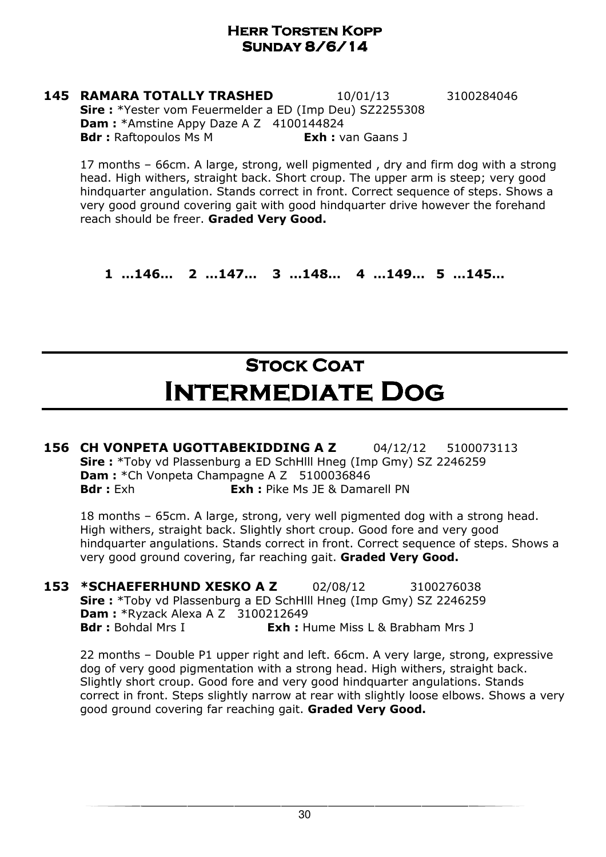**145 RAMARA TOTALLY TRASHED** 10/01/13 3100284046 Sire : \*Yester vom Feuermelder a ED (Imp Deu) SZ2255308 Dam : \*Amstine Appy Daze A Z 4100144824 **Bdr**: Raftopoulos Ms M **Exh:** van Gaans J

17 months – 66cm. A large, strong, well pigmented , dry and firm dog with a strong head. High withers, straight back. Short croup. The upper arm is steep; very good hindquarter angulation. Stands correct in front. Correct sequence of steps. Shows a very good ground covering gait with good hindquarter drive however the forehand reach should be freer. Graded Very Good.

1 …146… 2 …147… 3 …148… 4 …149… 5 …145…

## Stock Coat Intermediate Dog

156 CH VONPETA UGOTTABEKIDDING A Z 04/12/12 5100073113 Sire : \*Toby vd Plassenburg a ED SchHlll Hneg (Imp Gmy) SZ 2246259 Dam : \*Ch Vonpeta Champagne A Z 5100036846 **Bdr**: Exh **Exh:** Pike Ms JE & Damarell PN

18 months – 65cm. A large, strong, very well pigmented dog with a strong head. High withers, straight back. Slightly short croup. Good fore and very good hindquarter angulations. Stands correct in front. Correct sequence of steps. Shows a very good ground covering, far reaching gait. Graded Very Good.

**153 \*SCHAEFERHUND XESKO A Z** 02/08/12 3100276038 Sire : \*Toby vd Plassenburg a ED SchHlll Hneg (Imp Gmy) SZ 2246259 **Dam:** \*Ryzack Alexa A Z 3100212649 **Bdr**: Bohdal Mrs I **Exh:** Hume Miss L & Brabham Mrs J

22 months – Double P1 upper right and left. 66cm. A very large, strong, expressive dog of very good pigmentation with a strong head. High withers, straight back. Slightly short croup. Good fore and very good hindquarter angulations. Stands correct in front. Steps slightly narrow at rear with slightly loose elbows. Shows a very good ground covering far reaching gait. Graded Very Good.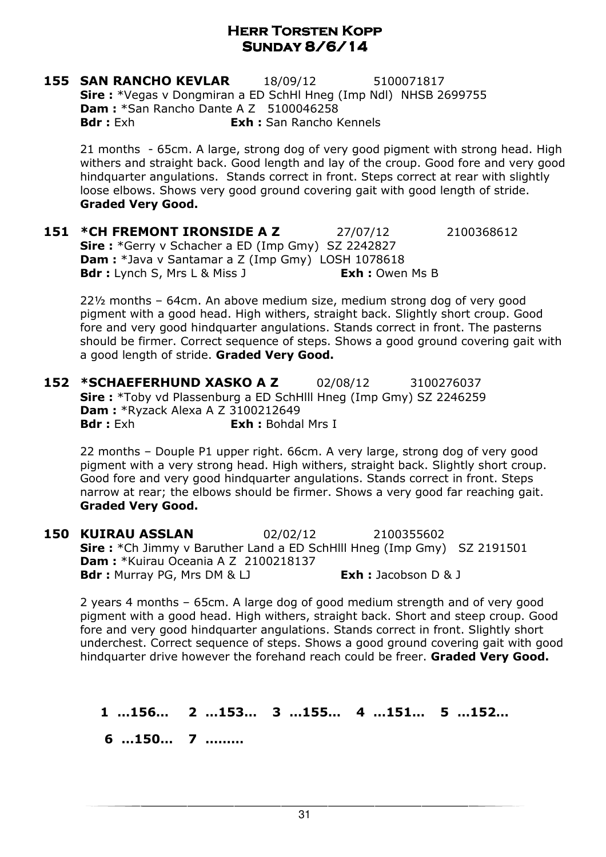**155 SAN RANCHO KEVLAR** 18/09/12 5100071817 Sire : \*Vegas v Dongmiran a ED SchHl Hneg (Imp Ndl) NHSB 2699755 **Dam: \*San Rancho Dante A Z 5100046258 Bdr :** Exh **Exh :** San Rancho Kennels

21 months - 65cm. A large, strong dog of very good pigment with strong head. High withers and straight back. Good length and lay of the croup. Good fore and very good hindquarter angulations. Stands correct in front. Steps correct at rear with slightly loose elbows. Shows very good ground covering gait with good length of stride. Graded Very Good.

**151 \*CH FREMONT IRONSIDE A Z** 27/07/12 2100368612 Sire : \*Gerry v Schacher a ED (Imp Gmy) SZ 2242827 Dam : \*Java v Santamar a Z (Imp Gmy) LOSH 1078618 **Bdr :** Lynch S, Mrs L & Miss J **Exh :** Owen Ms B

22½ months – 64cm. An above medium size, medium strong dog of very good pigment with a good head. High withers, straight back. Slightly short croup. Good fore and very good hindquarter angulations. Stands correct in front. The pasterns should be firmer. Correct sequence of steps. Shows a good ground covering gait with a good length of stride. Graded Very Good.

152 \*SCHAEFERHUND XASKO A Z 02/08/12 3100276037 Sire : \*Toby vd Plassenburg a ED SchHlll Hneg (Imp Gmy) SZ 2246259 Dam : \*Ryzack Alexa A Z 3100212649 Bdr : Exh **Exh :** Bohdal Mrs I

22 months – Douple P1 upper right. 66cm. A very large, strong dog of very good pigment with a very strong head. High withers, straight back. Slightly short croup. Good fore and very good hindquarter angulations. Stands correct in front. Steps narrow at rear; the elbows should be firmer. Shows a very good far reaching gait. Graded Very Good.

150 KUIRAU ASSLAN 02/02/12 2100355602 Sire : \*Ch Jimmy v Baruther Land a ED SchHlll Hneg (Imp Gmy) SZ 2191501 **Dam : \***Kuirau Oceania A Z 2100218137 Bdr: Murray PG, Mrs DM & LJ Exh: Jacobson D & J

2 years 4 months – 65cm. A large dog of good medium strength and of very good pigment with a good head. High withers, straight back. Short and steep croup. Good fore and very good hindquarter angulations. Stands correct in front. Slightly short underchest. Correct sequence of steps. Shows a good ground covering gait with good hindquarter drive however the forehand reach could be freer. Graded Very Good.

1 …156… 2 …153… 3 …155… 4 …151… 5 …152…

6 …150… 7 ………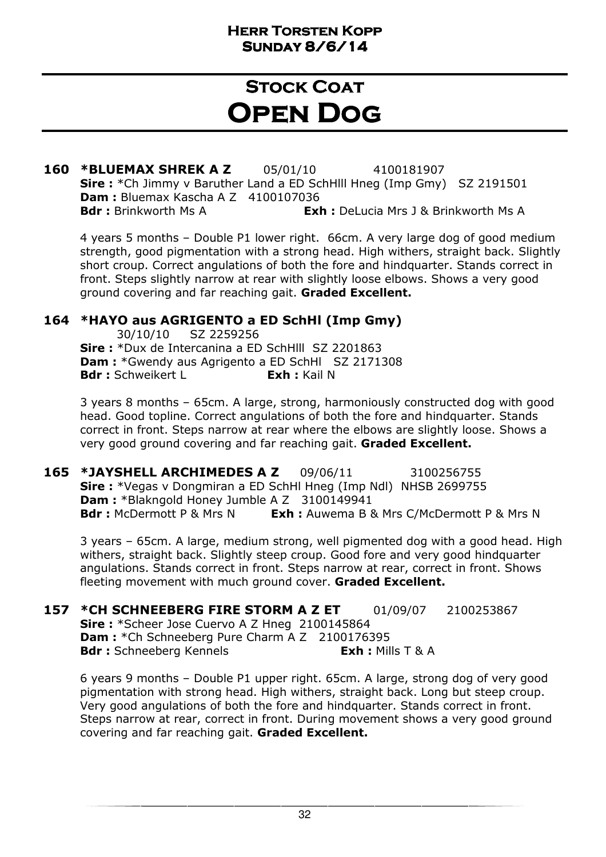### **STOCK COAT** Open Dog

160 \*BLUEMAX SHREK A Z 05/01/10 4100181907 Sire : \*Ch Jimmy v Baruther Land a ED SchHill Hneg (Imp Gmy) SZ 2191501 **Dam: Bluemax Kascha A Z 4100107036 Bdr :** Brinkworth Ms A **Exh :** DeLucia Mrs J & Brinkworth Ms A

4 years 5 months – Double P1 lower right. 66cm. A very large dog of good medium strength, good pigmentation with a strong head. High withers, straight back. Slightly short croup. Correct angulations of both the fore and hindquarter. Stands correct in front. Steps slightly narrow at rear with slightly loose elbows. Shows a very good ground covering and far reaching gait. Graded Excellent.

#### 164 \*HAYO aus AGRIGENTO a ED SchHl (Imp Gmy)

 30/10/10 SZ 2259256 Sire : \*Dux de Intercanina a ED SchHlll SZ 2201863 Dam : \*Gwendy aus Agrigento a ED SchHl SZ 2171308 Bdr: Schweikert L **Exh:** Kail N

3 years 8 months – 65cm. A large, strong, harmoniously constructed dog with good head. Good topline. Correct angulations of both the fore and hindquarter. Stands correct in front. Steps narrow at rear where the elbows are slightly loose. Shows a very good ground covering and far reaching gait. Graded Excellent.

**165 \*JAYSHELL ARCHIMEDES A Z** 09/06/11 3100256755 Sire : \*Vegas v Dongmiran a ED SchHl Hneg (Imp Ndl) NHSB 2699755 Dam : \*Blakngold Honey Jumble A Z 3100149941 **Bdr**: McDermott P & Mrs N **Exh:** Auwema B & Mrs C/McDermott P & Mrs N

3 years – 65cm. A large, medium strong, well pigmented dog with a good head. High withers, straight back. Slightly steep croup. Good fore and very good hindquarter angulations. Stands correct in front. Steps narrow at rear, correct in front. Shows fleeting movement with much ground cover. Graded Excellent.

157 \*CH SCHNEEBERG FIRE STORM A Z ET 01/09/07 2100253867 Sire: \*Scheer Jose Cuervo A Z Hneg 2100145864 **Dam :** \*Ch Schneeberg Pure Charm A Z 2100176395 Bdr: Schneeberg Kennels **Exh:** Mills T & A

6 years 9 months – Double P1 upper right. 65cm. A large, strong dog of very good pigmentation with strong head. High withers, straight back. Long but steep croup. Very good angulations of both the fore and hindquarter. Stands correct in front. Steps narrow at rear, correct in front. During movement shows a very good ground covering and far reaching gait. Graded Excellent.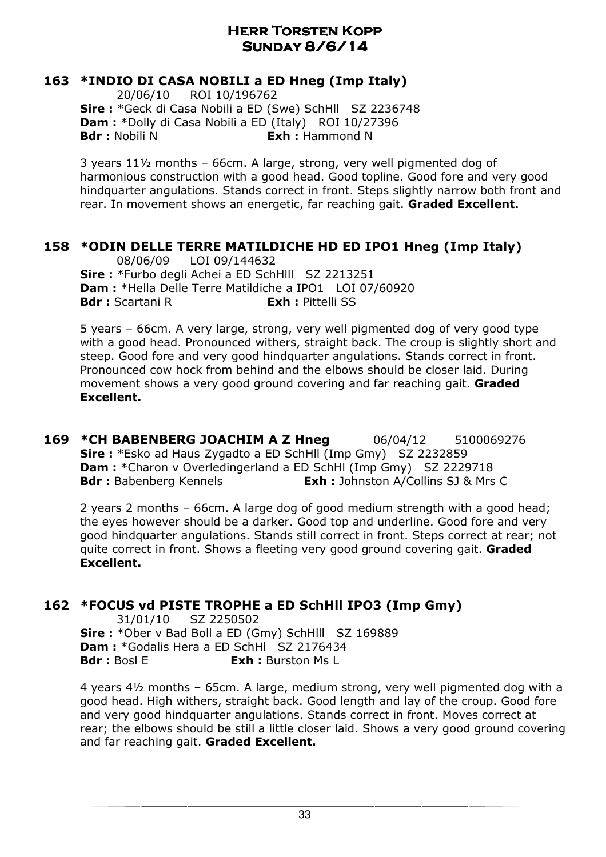#### 163 \*INDIO DI CASA NOBILI a ED Hneg (Imp Italy)

 20/06/10 ROI 10/196762 Sire : \*Geck di Casa Nobili a ED (Swe) SchHll SZ 2236748 Dam : \*Dolly di Casa Nobili a ED (Italy) ROI 10/27396 **Bdr**: Nobili N **Exh**: Hammond N

3 years 11½ months – 66cm. A large, strong, very well pigmented dog of harmonious construction with a good head. Good topline. Good fore and very good hindquarter angulations. Stands correct in front. Steps slightly narrow both front and rear. In movement shows an energetic, far reaching gait. Graded Excellent.

#### 158 \*ODIN DELLE TERRE MATILDICHE HD ED IPO1 Hneg (Imp Italy)

 08/06/09 LOI 09/144632 Sire: \*Furbo degli Achei a ED SchHlll SZ 2213251 Dam : \*Hella Delle Terre Matildiche a IPO1 LOI 07/60920 **Bdr**: Scartani R **Exh**: Pittelli SS

5 years – 66cm. A very large, strong, very well pigmented dog of very good type with a good head. Pronounced withers, straight back. The croup is slightly short and steep. Good fore and very good hindquarter angulations. Stands correct in front. Pronounced cow hock from behind and the elbows should be closer laid. During movement shows a very good ground covering and far reaching gait. Graded Excellent.

169 \*CH BABENBERG JOACHIM A Z Hneg 06/04/12 5100069276 Sire : \*Esko ad Haus Zygadto a ED SchHll (Imp Gmy) SZ 2232859 **Dam :** \*Charon v Overledingerland a ED SchHl (Imp Gmy) SZ 2229718 **Bdr**: Babenberg Kennels **Exh:** Johnston A/Collins SJ & Mrs C

2 years 2 months – 66cm. A large dog of good medium strength with a good head; the eyes however should be a darker. Good top and underline. Good fore and very good hindquarter angulations. Stands still correct in front. Steps correct at rear; not quite correct in front. Shows a fleeting very good ground covering gait. Graded Excellent.

#### 162 \*FOCUS vd PISTE TROPHE a ED SchHll IPO3 (Imp Gmy)

 31/01/10 SZ 2250502 Sire: \*Ober v Bad Boll a ED (Gmy) SchHlll SZ 169889 Dam : \*Godalis Hera a ED SchHl SZ 2176434 **Bdr**: Bosl F **Exh**: Burston Ms L

4 years 4½ months – 65cm. A large, medium strong, very well pigmented dog with a good head. High withers, straight back. Good length and lay of the croup. Good fore and very good hindquarter angulations. Stands correct in front. Moves correct at rear; the elbows should be still a little closer laid. Shows a very good ground covering and far reaching gait. Graded Excellent.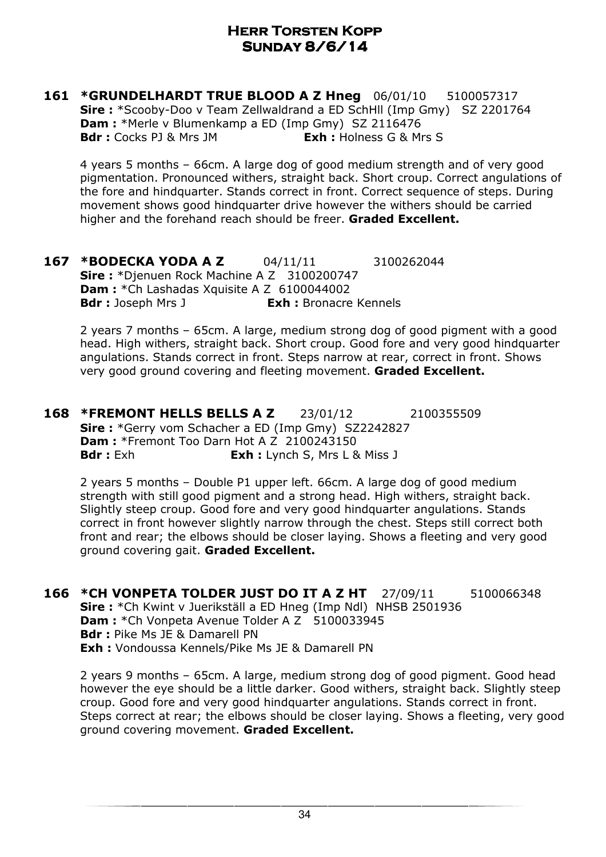161 \*GRUNDELHARDT TRUE BLOOD A Z Hneg 06/01/10 5100057317 Sire : \*Scooby-Doo v Team Zellwaldrand a ED SchHll (Imp Gmy) SZ 2201764 Dam : \*Merle v Blumenkamp a ED (Imp Gmy) SZ 2116476 **Bdr** : Cocks PJ & Mrs JM **Exh** : Holness G & Mrs S

4 years 5 months – 66cm. A large dog of good medium strength and of very good pigmentation. Pronounced withers, straight back. Short croup. Correct angulations of the fore and hindquarter. Stands correct in front. Correct sequence of steps. During movement shows good hindquarter drive however the withers should be carried higher and the forehand reach should be freer. Graded Excellent.

167 \*BODECKA YODA A Z 04/11/11 3100262044 Sire: \*Djenuen Rock Machine A Z 3100200747 Dam : \* Ch Lashadas Xquisite A Z 6100044002 **Bdr**: Joseph Mrs J **Exh:** Bronacre Kennels

2 years 7 months – 65cm. A large, medium strong dog of good pigment with a good head. High withers, straight back. Short croup. Good fore and very good hindquarter angulations. Stands correct in front. Steps narrow at rear, correct in front. Shows very good ground covering and fleeting movement. Graded Excellent.

**168 \*FREMONT HELLS BELLS A Z** 23/01/12 2100355509 Sire: \*Gerry vom Schacher a ED (Imp Gmy) SZ2242827 Dam : \*Fremont Too Darn Hot A Z 2100243150 **Bdr** : Exh **Exh** : Lynch S, Mrs L & Miss J

2 years 5 months – Double P1 upper left. 66cm. A large dog of good medium strength with still good pigment and a strong head. High withers, straight back. Slightly steep croup. Good fore and very good hindquarter angulations. Stands correct in front however slightly narrow through the chest. Steps still correct both front and rear; the elbows should be closer laying. Shows a fleeting and very good ground covering gait. Graded Excellent.

**166 \*CH VONPETA TOLDER JUST DO IT A Z HT** 27/09/11 5100066348 Sire : \*Ch Kwint v Juerikställ a ED Hneg (Imp Ndl) NHSB 2501936 Dam : \* Ch Vonpeta Avenue Tolder A Z 5100033945 Bdr : Pike Ms JE & Damarell PN Exh : Vondoussa Kennels/Pike Ms JE & Damarell PN

2 years 9 months – 65cm. A large, medium strong dog of good pigment. Good head however the eye should be a little darker. Good withers, straight back. Slightly steep croup. Good fore and very good hindquarter angulations. Stands correct in front. Steps correct at rear; the elbows should be closer laying. Shows a fleeting, very good ground covering movement. Graded Excellent.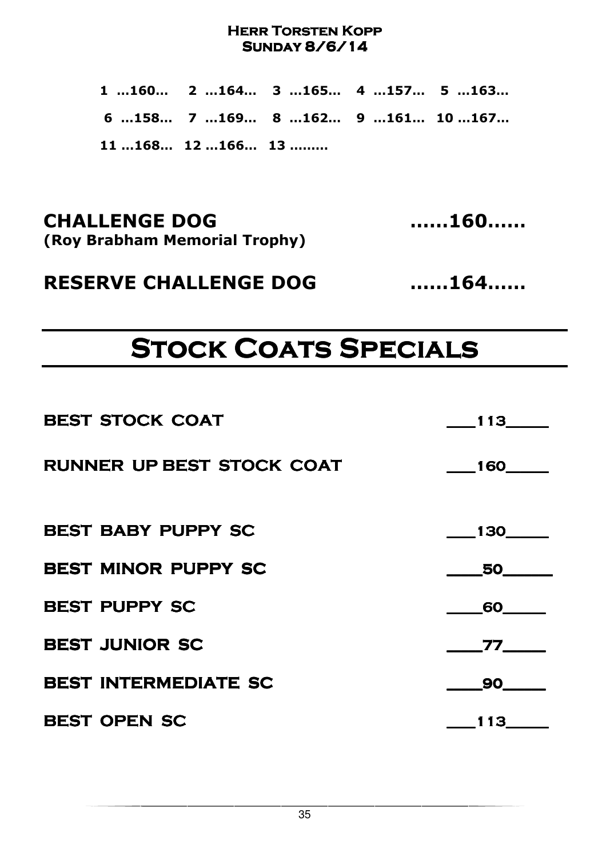1 …160… 2 …164… 3 …165… 4 …157… 5 …163… 6 …158… 7 …169… 8 …162… 9 …161… 10 …167… 11 …168… 12 …166… 13 ………

CHALLENGE DOG ……160…… (Roy Brabham Memorial Trophy)

RESERVE CHALLENGE DOG ……164……

# **STOCK COATS SPECIALS**

| <b>BEST STOCK COAT</b>           | 113               |
|----------------------------------|-------------------|
| <b>RUNNER UP BEST STOCK COAT</b> | $\frac{160}{160}$ |
| <b>BEST BABY PUPPY SC</b>        | $\frac{130}{1}$   |
| <b>BEST MINOR PUPPY SC</b>       | 50                |
| <b>BEST PUPPY SC</b>             | 60                |
| <b>BEST JUNIOR SC</b>            | 77                |
| <b>BEST INTERMEDIATE SC</b>      |                   |
| <b>BEST OPEN SC</b>              | 113               |